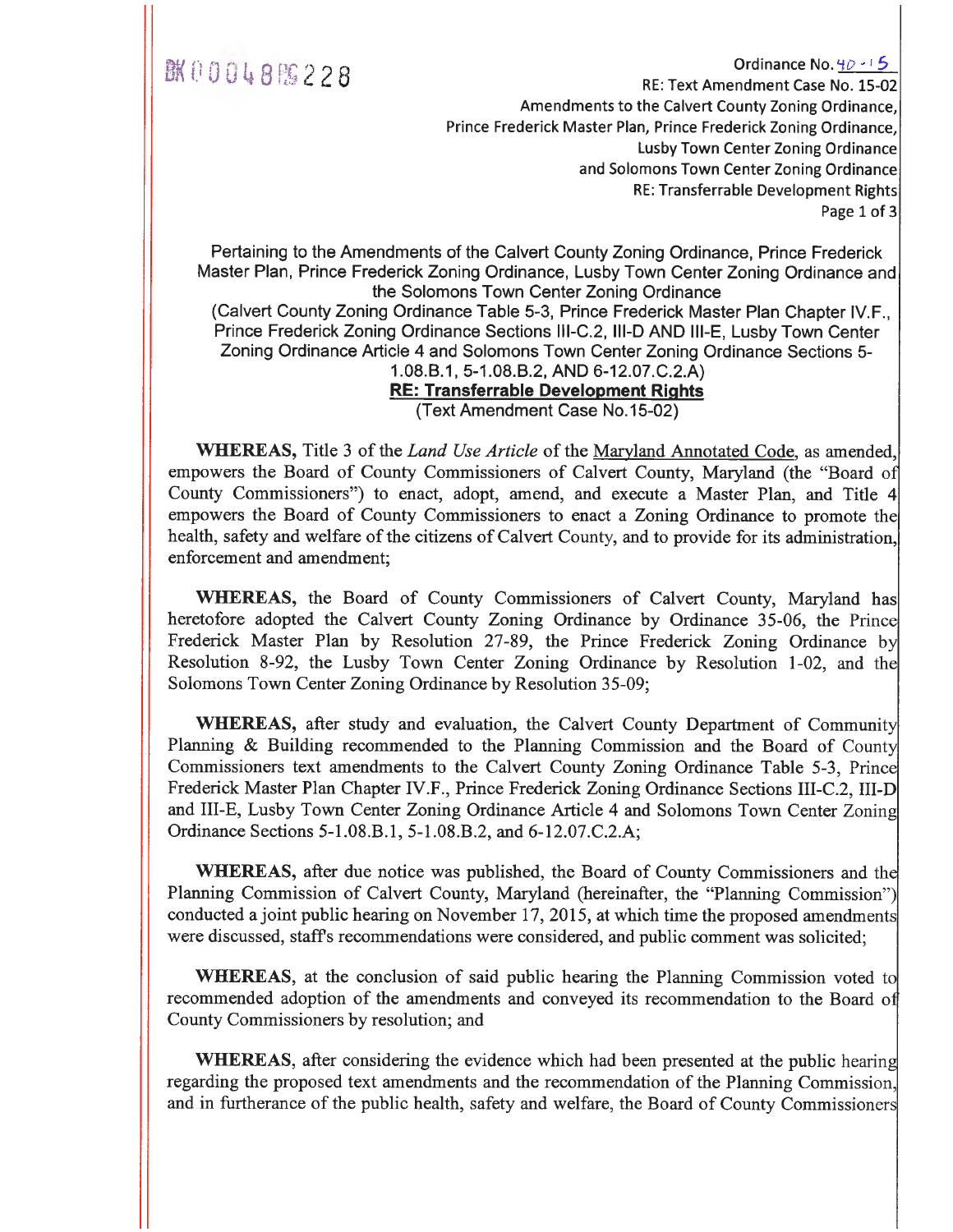### **BK00048%228**

Ordinance No.  $4\rho - 15$ RE: Text Amendment Case No. 15-02 Amendments to the Calvert County Zoning Ordinance, Prince Frederick Master Plan, Prince Frederick Zoning Ordinance, Lusby Town Center Zoning Ordinance and Solomons Town Center Zoning Ordinance RE: Transferrable Development Rights Page 1 of 3

Pertaining to the Amendments of the Calvert County Zoning Ordinance, Prince Frederick Master Plan, Prince Frederick Zoning Ordinance, Lusby Town Center Zoning Ordinance and the Solomons Town Center Zoning Ordinance (Calvert County Zoning Ordinance Table 5-3, Prince Frederick Master Plan Chapter IV.F., Prince Frederick Zoning Ordinance Sections III-C.2, III-D AND III-E, Lusby Town Center Zoning Ordinance Article 4 and Solomons Town Center Zoning Ordinance Sections 5- 1.08.6.1, 5-1.08.B.2, AND 6-12.07.C.2.A) **RE: Transferrable Development Rights** 

(Text Amendment Case No.15-02)

WHEREAS, Title 3 of the *Land Use Article* of the Maryland Annotated Code, as amended, empowers the Board of County Commissioners of Calvert County, Maryland (the "Board o County Commissioners") to enact, adopt, amend, and execute a Master Plan, and Title 4 empowers the Board of County Commissioners to enact a Zoning Ordinance to promote the health, safety and welfare of the citizens of Calvert County, and to provide for its administration, enforcement and amendment;

WHEREAS, the Board of County Commissioners of Calvert County, Maryland has heretofore adopted the Calvert County Zoning Ordinance by Ordinance 35-06, the Prince Frederick Master Plan by Resolution 27-89, the Prince Frederick Zoning Ordinance by Resolution 8-92, the Lusby Town Center Zoning Ordinance by Resolution 1-02, and the Solomons Town Center Zoning Ordinance by Resolution 35-09;

WHEREAS, after study and evaluation, the Calvert County Department of Community Planning & Building recommended to the Planning Commission and the Board of County Commissioners text amendments to the Calvert County Zoning Ordinance Table 5-3, Prince Frederick Master Plan Chapter IV.F., Prince Frederick Zoning Ordinance Sections III-C.2, III-D and III-E, Lusby Town Center Zoning Ordinance Article 4 and Solomons Town Center Zoning Ordinance Sections 5-1.08.B.1, 5-1.08.B.2, and 6-12.07.C.2.A;

WHEREAS, after due notice was published, the Board of County Commissioners and the Planning Commission of Calvert County, Maryland (hereinafter, the "Planning Commission") conducted a joint public hearing on November 17, 2015, at which time the proposed amendments were discussed, staffs recommendations were considered, and public comment was solicited;

WHEREAS, at the conclusion of said public hearing the Planning Commission voted to recommended adoption of the amendments and conveyed its recommendation to the Board o County Commissioners by resolution; and

WHEREAS, after considering the evidence which had been presented at the public hearing regarding the proposed text amendments and the recommendation of the Planning Commission, and in furtherance of the public health, safety and welfare, the Board of County Commissioner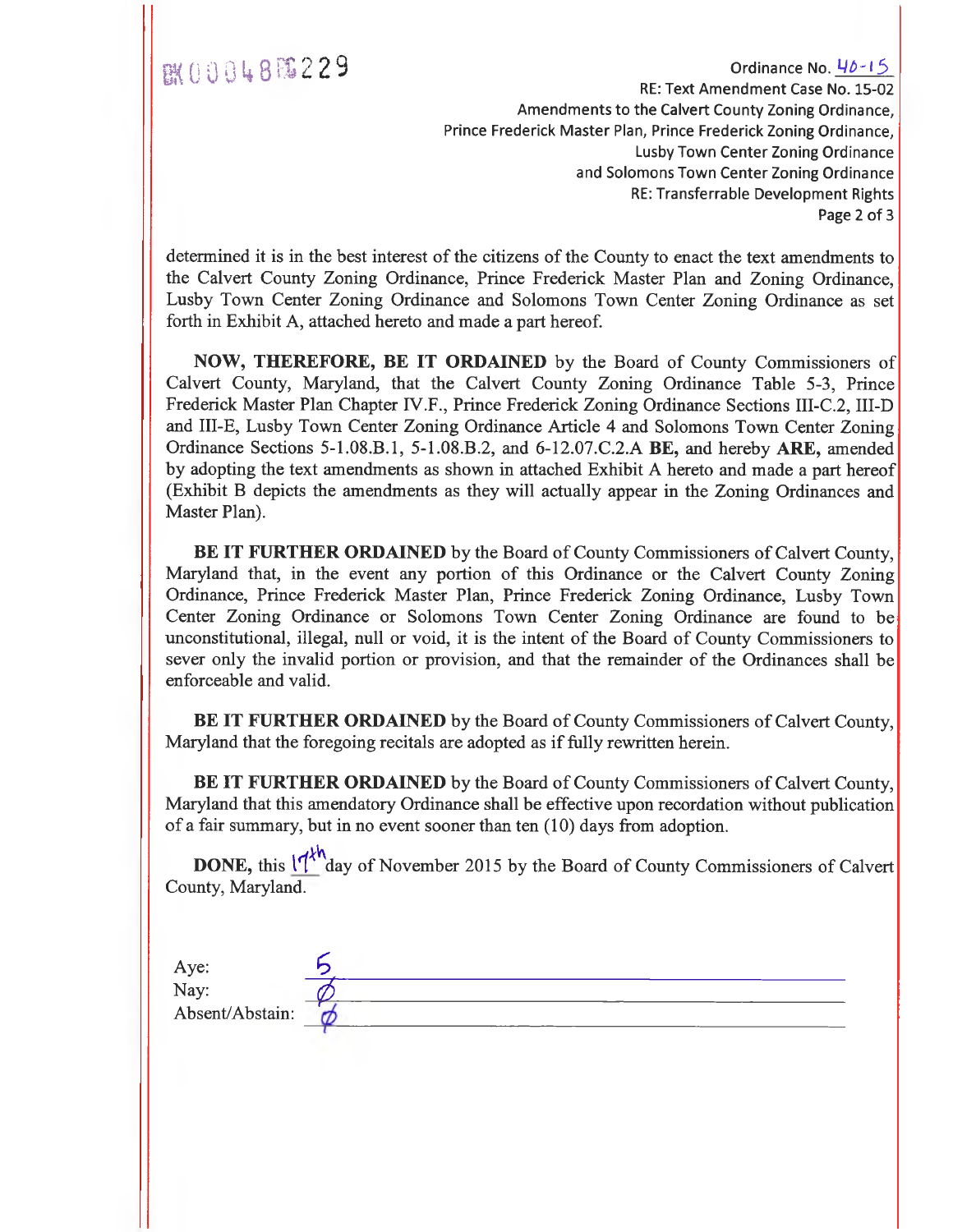EM(  $0, 0, 0, 4, 8$  )  $\frac{10}{15}$   $2, 2, 9$ RE: Text Amendment Case No. 15-02 Amendments to the Calvert County Zoning Ordinance, Prince Frederick Master Plan, Prince Frederick Zoning Ordinance, Lusby Town Center Zoning Ordinance and Solomons Town Center Zoning Ordinance RE: Transferrable Development Rights Page 2 of 3

determined it is in the best interest of the citizens of the County to enact the text amendments to the Calvert County Zoning Ordinance, Prince Frederick Master Plan and Zoning Ordinance, Lusby Town Center Zoning Ordinance and Solomons Town Center Zoning Ordinance as set forth in Exhibit A, attached hereto and made a part hereof.

**NOW, THEREFORE, BE IT ORDAINED** by the Board of County Commissioners of Calvert County, Maryland, that the Calvert County Zoning Ordinance Table 5-3, Prince Frederick Master Plan Chapter IV.F., Prince Frederick Zoning Ordinance Sections III-C.2, III-D and III-E, Lusby Town Center Zoning Ordinance Article 4 and Solomons Town Center Zoning Ordinance Sections 5-1.08.B.1, 5-1.08.B.2, and 6-12.07.C.2.A **BE,** and hereby **ARE,** amended by adopting the text amendments as shown in attached Exhibit A hereto and made a part hereof (Exhibit B depicts the amendments as they will actually appear in the Zoning Ordinances and Master Plan).

**BE IT FURTHER ORDAINED** by the Board of County Commissioners of Calvert County, Maryland that, in the event any portion of this Ordinance or the Calvert County Zoning Ordinance, Prince Frederick Master Plan, Prince Frederick Zoning Ordinance, Lusby Town Center Zoning Ordinance or Solomons Town Center Zoning Ordinance are found to be unconstitutional, illegal, null or void, it is the intent of the Board of County Commissioners to sever only the invalid portion or provision, and that the remainder of the Ordinances shall be enforceable and valid.

**BE IT FURTHER ORDAINED** by the Board of County Commissioners of Calvert County, Maryland that the foregoing recitals are adopted as if fully rewritten herein.

**BE IT FURTHER ORDAINED** by the Board of County Commissioners of Calvert County, Maryland that this amendatory Ordinance shall be effective upon recordation without publication of a fair summary, but in no event sooner than ten (10) days from adoption.

**DONE,** this  $11^{\lambda n}$  day of November 2015 by the Board of County Commissioners of Calvert County, Maryland.

| Aye:            |  |  |
|-----------------|--|--|
| Nay:            |  |  |
| Absent/Abstain: |  |  |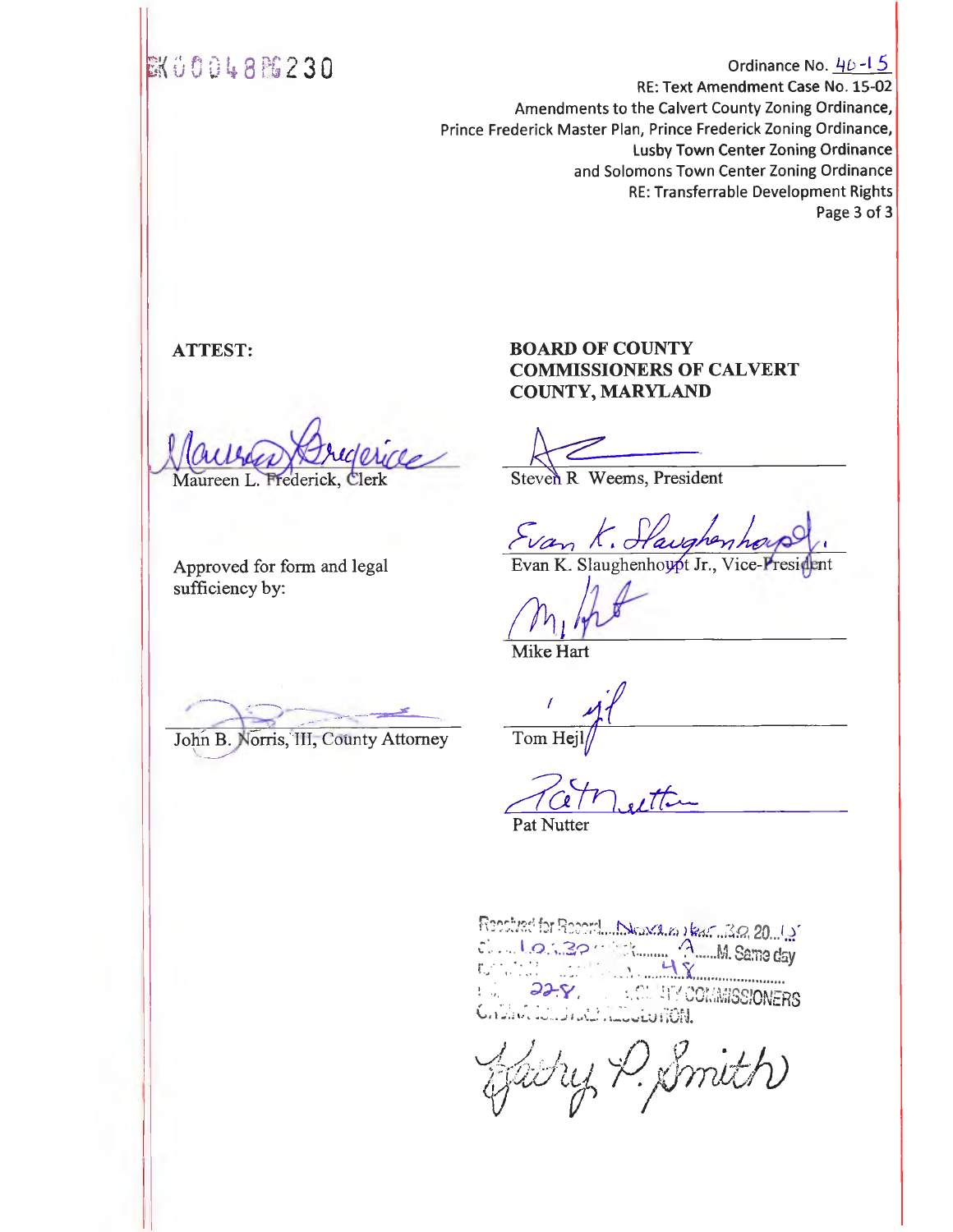### **EX00048FG230**

Ordinance No.  $46 - 15$ RE: Text Amendment Case No. 15-02 Amendments to the Calvert County Zoning Ordinance, Prince Frederick Master Plan, Prince Frederick Zoning Ordinance, Lusby Town Center Zoning Ordinance and Solomons Town Center Zoning Ordinance RE: Transferrable Development Rights Page 3 of 3

#### **ATTEST:**

ide Maureen L. Frederick, Clerk

Approved for form and legal sufficiency by:

John B. Norris, III, County Attorney

#### **BOARD OF COUNTY COMMISSIONERS OF CALVERT COUNTY, MARYLAND**

Steven R Weems, President

•

Evan K. Slaughenhoupt Jr., Vice-President

Mike **Hart** 

Tom Hej

Pat Nutter

 $32.20$  ... **M. Same day** CCli,MISSIONERS **I** Li V., • Low,. LU 1

ffachy P. Smith)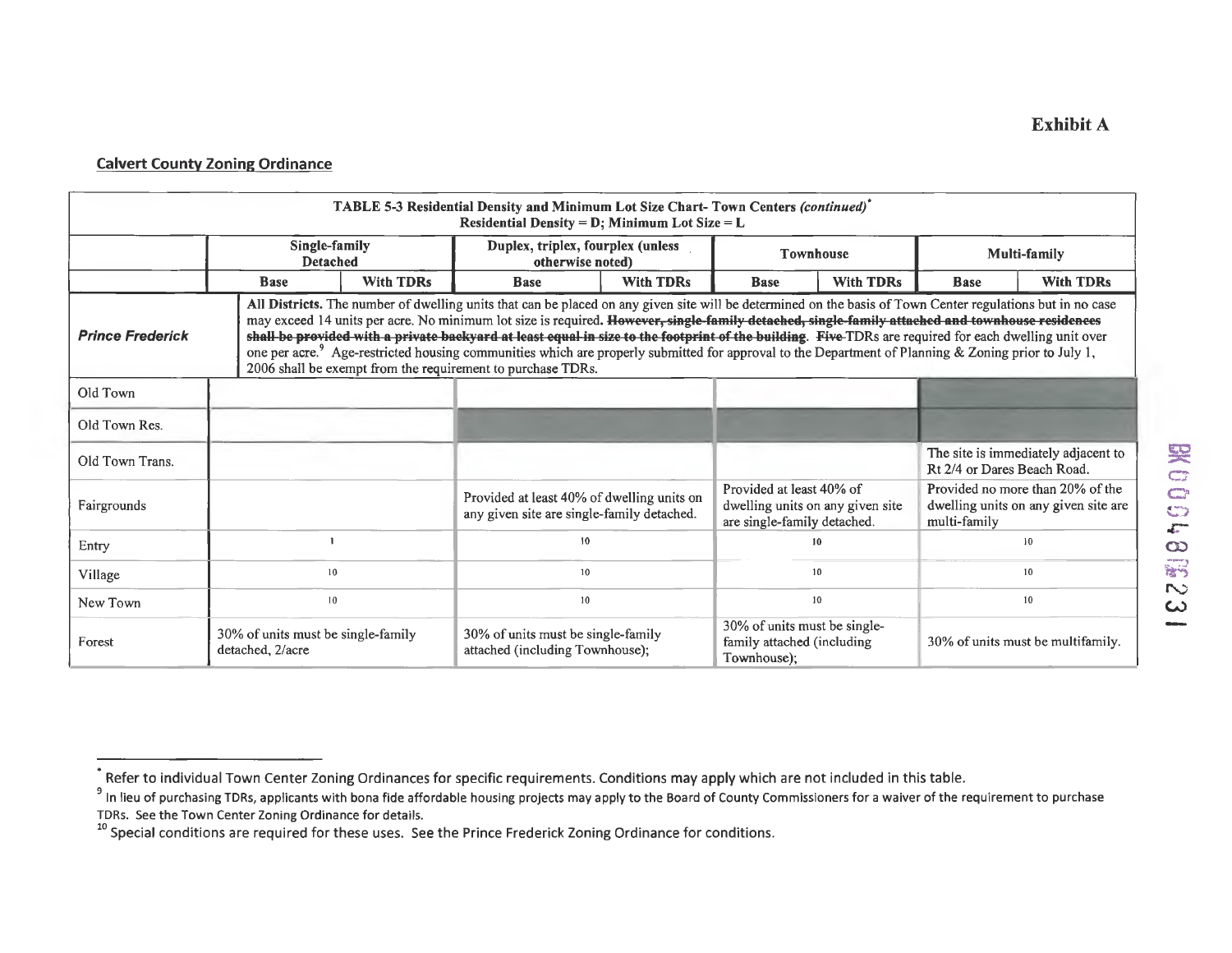| TABLE 5-3 Residential Density and Minimum Lot Size Chart-Town Centers (continued)*<br>Residential Density = $D$ ; Minimum Lot Size = $L$                                                                                                                                                                                                                                                                                                                                                                                                                                                                                                                                                                                            |                                                        |                                                       |                                                                                          |                  |                                                                                             |                  |                             |                                                                          |  |  |
|-------------------------------------------------------------------------------------------------------------------------------------------------------------------------------------------------------------------------------------------------------------------------------------------------------------------------------------------------------------------------------------------------------------------------------------------------------------------------------------------------------------------------------------------------------------------------------------------------------------------------------------------------------------------------------------------------------------------------------------|--------------------------------------------------------|-------------------------------------------------------|------------------------------------------------------------------------------------------|------------------|---------------------------------------------------------------------------------------------|------------------|-----------------------------|--------------------------------------------------------------------------|--|--|
| Single-family<br><b>Detached</b>                                                                                                                                                                                                                                                                                                                                                                                                                                                                                                                                                                                                                                                                                                    |                                                        | Duplex, triplex, fourplex (unless<br>otherwise noted) |                                                                                          | <b>Townhouse</b> |                                                                                             | Multi-family     |                             |                                                                          |  |  |
|                                                                                                                                                                                                                                                                                                                                                                                                                                                                                                                                                                                                                                                                                                                                     | <b>With TDRs</b><br><b>Base</b>                        |                                                       | <b>Base</b>                                                                              | <b>With TDRs</b> |                                                                                             | <b>With TDRs</b> | <b>Base</b>                 | <b>With TDRs</b>                                                         |  |  |
| All Districts. The number of dwelling units that can be placed on any given site will be determined on the basis of Town Center regulations but in no case<br>may exceed 14 units per acre. No minimum lot size is required. However, single-family detached, single-family attached and townhouse residences<br>shall be provided with a private backyard at least equal in size to the footprint of the building. Five-TDRs are required for each dwelling unit over<br><b>Prince Frederick</b><br>one per acre. <sup>9</sup> Age-restricted housing communities which are properly submitted for approval to the Department of Planning & Zoning prior to July 1,<br>2006 shall be exempt from the requirement to purchase TDRs. |                                                        |                                                       |                                                                                          |                  |                                                                                             |                  |                             |                                                                          |  |  |
| Old Town                                                                                                                                                                                                                                                                                                                                                                                                                                                                                                                                                                                                                                                                                                                            |                                                        |                                                       |                                                                                          |                  |                                                                                             |                  |                             |                                                                          |  |  |
| Old Town Res.                                                                                                                                                                                                                                                                                                                                                                                                                                                                                                                                                                                                                                                                                                                       |                                                        |                                                       |                                                                                          |                  |                                                                                             |                  |                             |                                                                          |  |  |
| Old Town Trans.                                                                                                                                                                                                                                                                                                                                                                                                                                                                                                                                                                                                                                                                                                                     |                                                        |                                                       |                                                                                          |                  |                                                                                             |                  | Rt 2/4 or Dares Beach Road. | The site is immediately adjacent to                                      |  |  |
| Fairgrounds                                                                                                                                                                                                                                                                                                                                                                                                                                                                                                                                                                                                                                                                                                                         |                                                        |                                                       | Provided at least 40% of dwelling units on<br>any given site are single-family detached. |                  | Provided at least 40% of<br>dwelling units on any given site<br>are single-family detached. |                  | multi-family                | Provided no more than 20% of the<br>dwelling units on any given site are |  |  |
| Entry                                                                                                                                                                                                                                                                                                                                                                                                                                                                                                                                                                                                                                                                                                                               |                                                        |                                                       | 10                                                                                       |                  |                                                                                             | 10               |                             | 10 <sup>°</sup>                                                          |  |  |
| Village                                                                                                                                                                                                                                                                                                                                                                                                                                                                                                                                                                                                                                                                                                                             | 10                                                     |                                                       | 10                                                                                       |                  |                                                                                             | 10 <sup>°</sup>  |                             | 10                                                                       |  |  |
| New Town                                                                                                                                                                                                                                                                                                                                                                                                                                                                                                                                                                                                                                                                                                                            | 10                                                     |                                                       | 10                                                                                       |                  |                                                                                             | 10               |                             | 10 <sup>°</sup>                                                          |  |  |
| Forest                                                                                                                                                                                                                                                                                                                                                                                                                                                                                                                                                                                                                                                                                                                              | 30% of units must be single-family<br>detached, 2/acre |                                                       | 30% of units must be single-family<br>attached (including Townhouse);                    |                  | 30% of units must be single-<br>family attached (including<br>Townhouse);                   |                  |                             | 30% of units must be multifamily.                                        |  |  |

<sup>.&</sup>lt;br>Refer to individual Town Center Zoning Ordinances for specific requirements. Conditions may apply which are not included in this table.

<sup>&</sup>lt;sup>9</sup> In lieu of purchasing TDRs, applicants with bona fide affordable housing projects may apply to the Board of County Commissioners for a waiver of the requirement to purchase TDRs. See the Town Center Zoning Ordinance for details.

<sup>&</sup>lt;sup>10</sup> Special conditions are required for these uses. See the Prince Frederick Zoning Ordinance for conditions.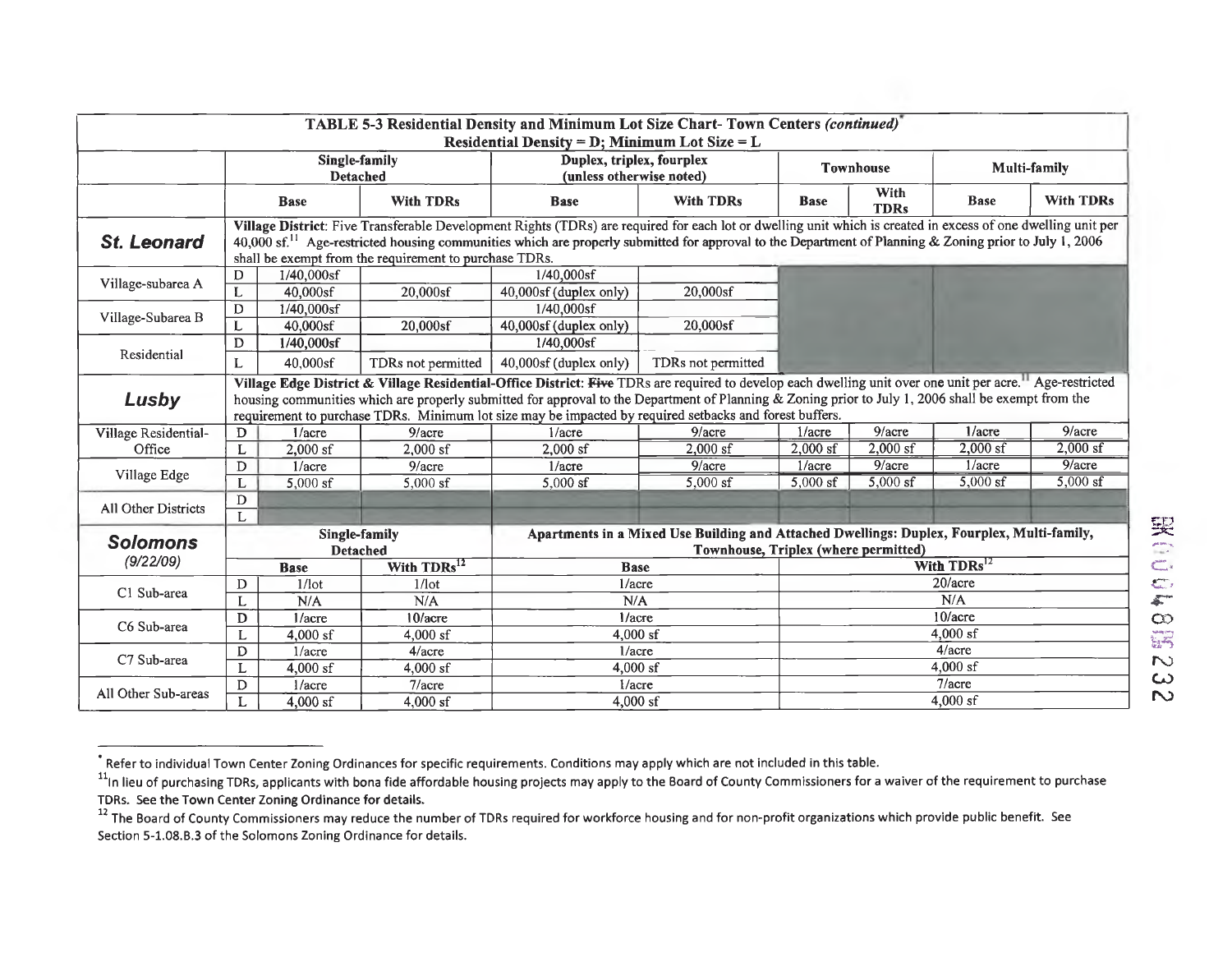|                      |                                                                                                                                                                                                                                                                                                                                                                                              |                                  |                    | TABLE 5-3 Residential Density and Minimum Lot Size Chart-Town Centers (continued)<br>Residential Density = $D$ ; Minimum Lot Size = $L$                                                                                                                                                                                                                                                                                                  |                         |                  |                     |              |                  |
|----------------------|----------------------------------------------------------------------------------------------------------------------------------------------------------------------------------------------------------------------------------------------------------------------------------------------------------------------------------------------------------------------------------------------|----------------------------------|--------------------|------------------------------------------------------------------------------------------------------------------------------------------------------------------------------------------------------------------------------------------------------------------------------------------------------------------------------------------------------------------------------------------------------------------------------------------|-------------------------|------------------|---------------------|--------------|------------------|
|                      |                                                                                                                                                                                                                                                                                                                                                                                              | Single-family<br><b>Detached</b> |                    | Duplex, triplex, fourplex<br>(unless otherwise noted)                                                                                                                                                                                                                                                                                                                                                                                    |                         | <b>Townhouse</b> |                     | Multi-family |                  |
|                      |                                                                                                                                                                                                                                                                                                                                                                                              | <b>Base</b>                      | <b>With TDRs</b>   | <b>With TDRs</b><br><b>Base</b>                                                                                                                                                                                                                                                                                                                                                                                                          |                         | <b>Base</b>      | With<br><b>TDRs</b> | <b>Base</b>  | <b>With TDRs</b> |
| <b>St. Leonard</b>   | Village District: Five Transferable Development Rights (TDRs) are required for each lot or dwelling unit which is created in excess of one dwelling unit per<br>40,000 sf. <sup>11</sup> Age-restricted housing communities which are properly submitted for approval to the Department of Planning & Zoning prior to July 1, 2006<br>shall be exempt from the requirement to purchase TDRs. |                                  |                    |                                                                                                                                                                                                                                                                                                                                                                                                                                          |                         |                  |                     |              |                  |
| Village-subarea A    | D                                                                                                                                                                                                                                                                                                                                                                                            | $1/40,000s$ f                    |                    | $1/40,000$ sf                                                                                                                                                                                                                                                                                                                                                                                                                            |                         |                  |                     |              |                  |
|                      | L                                                                                                                                                                                                                                                                                                                                                                                            | 40,000sf                         | 20,000sf           | 40,000sf (duplex only)                                                                                                                                                                                                                                                                                                                                                                                                                   | 20,000sf                |                  |                     |              |                  |
| Village-Subarea B    | D                                                                                                                                                                                                                                                                                                                                                                                            | $1/40,000$ sf                    |                    | 1/40,000sf                                                                                                                                                                                                                                                                                                                                                                                                                               |                         |                  |                     |              |                  |
|                      |                                                                                                                                                                                                                                                                                                                                                                                              | $40,000s$ f                      | 20,000sf           | 40,000sf (duplex only)                                                                                                                                                                                                                                                                                                                                                                                                                   | 20,000sf                |                  |                     |              |                  |
|                      | D                                                                                                                                                                                                                                                                                                                                                                                            | 1/40,000sf                       |                    | 1/40,000sf                                                                                                                                                                                                                                                                                                                                                                                                                               |                         |                  |                     |              |                  |
| Residential          |                                                                                                                                                                                                                                                                                                                                                                                              | 40,000sf                         | TDRs not permitted | 40,000sf (duplex only)                                                                                                                                                                                                                                                                                                                                                                                                                   | TDRs not permitted      |                  |                     |              |                  |
| Lusby                |                                                                                                                                                                                                                                                                                                                                                                                              |                                  |                    | Village Edge District & Village Residential-Office District: Five TDRs are required to develop each dwelling unit over one unit per acre. <sup>11</sup> Age-restricted<br>housing communities which are properly submitted for approval to the Department of Planning & Zoning prior to July 1, 2006 shall be exempt from the<br>requirement to purchase TDRs. Minimum lot size may be impacted by required setbacks and forest buffers. |                         |                  |                     |              |                  |
| Village Residential- | D                                                                                                                                                                                                                                                                                                                                                                                            | 1/accre                          | $9/$ acre          | $1/a$ cre                                                                                                                                                                                                                                                                                                                                                                                                                                | $9/$ acre               | 1/accre          | $9/$ acre           | $1/$ acre    | $9/$ acre        |
| Office               | L                                                                                                                                                                                                                                                                                                                                                                                            | $2,000$ sf                       | $2,000$ sf         | $2,000$ sf                                                                                                                                                                                                                                                                                                                                                                                                                               | $2.000$ sf              | $2,000$ sf       | $2,000$ sf          | $2,000$ sf   | $2,000$ sf       |
|                      | D                                                                                                                                                                                                                                                                                                                                                                                            | $1/a$ cre                        | 9/accre            | $1/a$ cre                                                                                                                                                                                                                                                                                                                                                                                                                                | 9/accre                 | 1/accre          | 9/acre              | $1/a$ cre    | $9/$ acre        |
| Village Edge         | L                                                                                                                                                                                                                                                                                                                                                                                            | $5,000$ sf                       | $5,000$ sf         | 5,000 $sf$                                                                                                                                                                                                                                                                                                                                                                                                                               | $5,000$ sf              | $5,000$ sf       | $5,000$ sf          | $5,000$ sf   | $5,000$ sf       |
| All Other Districts  | D                                                                                                                                                                                                                                                                                                                                                                                            |                                  |                    |                                                                                                                                                                                                                                                                                                                                                                                                                                          |                         |                  |                     |              |                  |
|                      | L                                                                                                                                                                                                                                                                                                                                                                                            |                                  |                    |                                                                                                                                                                                                                                                                                                                                                                                                                                          |                         |                  |                     |              |                  |
| <b>Solomons</b>      |                                                                                                                                                                                                                                                                                                                                                                                              | Single-family<br><b>Detached</b> |                    | Apartments in a Mixed Use Building and Attached Dwellings: Duplex, Fourplex, Multi-family,<br>Townhouse, Triplex (where permitted)                                                                                                                                                                                                                                                                                                       |                         |                  |                     |              |                  |
| (9/22/09)            | With TDRs <sup>12</sup><br><b>Base</b>                                                                                                                                                                                                                                                                                                                                                       |                                  | <b>Base</b>        |                                                                                                                                                                                                                                                                                                                                                                                                                                          | With TDRs <sup>12</sup> |                  |                     |              |                  |
| C1 Sub-area          | D                                                                                                                                                                                                                                                                                                                                                                                            | $1/$ lot                         | $1/1$ ot           | $1/a$ cre                                                                                                                                                                                                                                                                                                                                                                                                                                |                         | 20/accre         |                     |              |                  |
|                      |                                                                                                                                                                                                                                                                                                                                                                                              | N/A                              | N/A                | N/A                                                                                                                                                                                                                                                                                                                                                                                                                                      |                         | N/A              |                     |              |                  |
| C6 Sub-area          | D                                                                                                                                                                                                                                                                                                                                                                                            | 1/accre                          | 10/accre           | $1/a$ cre                                                                                                                                                                                                                                                                                                                                                                                                                                |                         | 10/acre          |                     |              |                  |
|                      |                                                                                                                                                                                                                                                                                                                                                                                              | $4,000$ sf                       | $4,000$ sf         | $4,000$ sf                                                                                                                                                                                                                                                                                                                                                                                                                               |                         | $4.000$ sf       |                     |              |                  |
| C7 Sub-area          | D                                                                                                                                                                                                                                                                                                                                                                                            | 1/accre                          | 4/acre             | 1/accre                                                                                                                                                                                                                                                                                                                                                                                                                                  |                         | $4/$ acre        |                     |              |                  |
|                      | L                                                                                                                                                                                                                                                                                                                                                                                            | $4,000$ sf                       | $4,000$ sf         | $4,000$ sf                                                                                                                                                                                                                                                                                                                                                                                                                               |                         | $4,000$ sf       |                     |              |                  |
|                      | D                                                                                                                                                                                                                                                                                                                                                                                            | 1/accre                          | 7/accre            | 1/accre                                                                                                                                                                                                                                                                                                                                                                                                                                  |                         | $7/$ acre        |                     |              |                  |
| All Other Sub-areas  |                                                                                                                                                                                                                                                                                                                                                                                              | $4,000$ sf                       | $4,000$ sf         | $4,000$ sf                                                                                                                                                                                                                                                                                                                                                                                                                               | $4,000$ sf              |                  |                     |              |                  |

Refer to individual Town Center Zoning Ordinances for specific requirements. Conditions may apply which are not included in this **table.** 

<sup>&</sup>lt;sup>11</sup>In lieu of purchasing TDRs, applicants with bona fide affordable housing projects may apply to the Board of County Commissioners for a waiver of the requirement to purchase TDRs. **See the Town Center** Zoning Ordinance for details.

<sup>&</sup>lt;sup>12</sup> The Board of County Commissioners may reduce the number of TDRs required for workforce housing and for non-profit organizations which provide public benefit. See Section 5-1.08.B.3 of the Solomons Zoning Ordinance for details.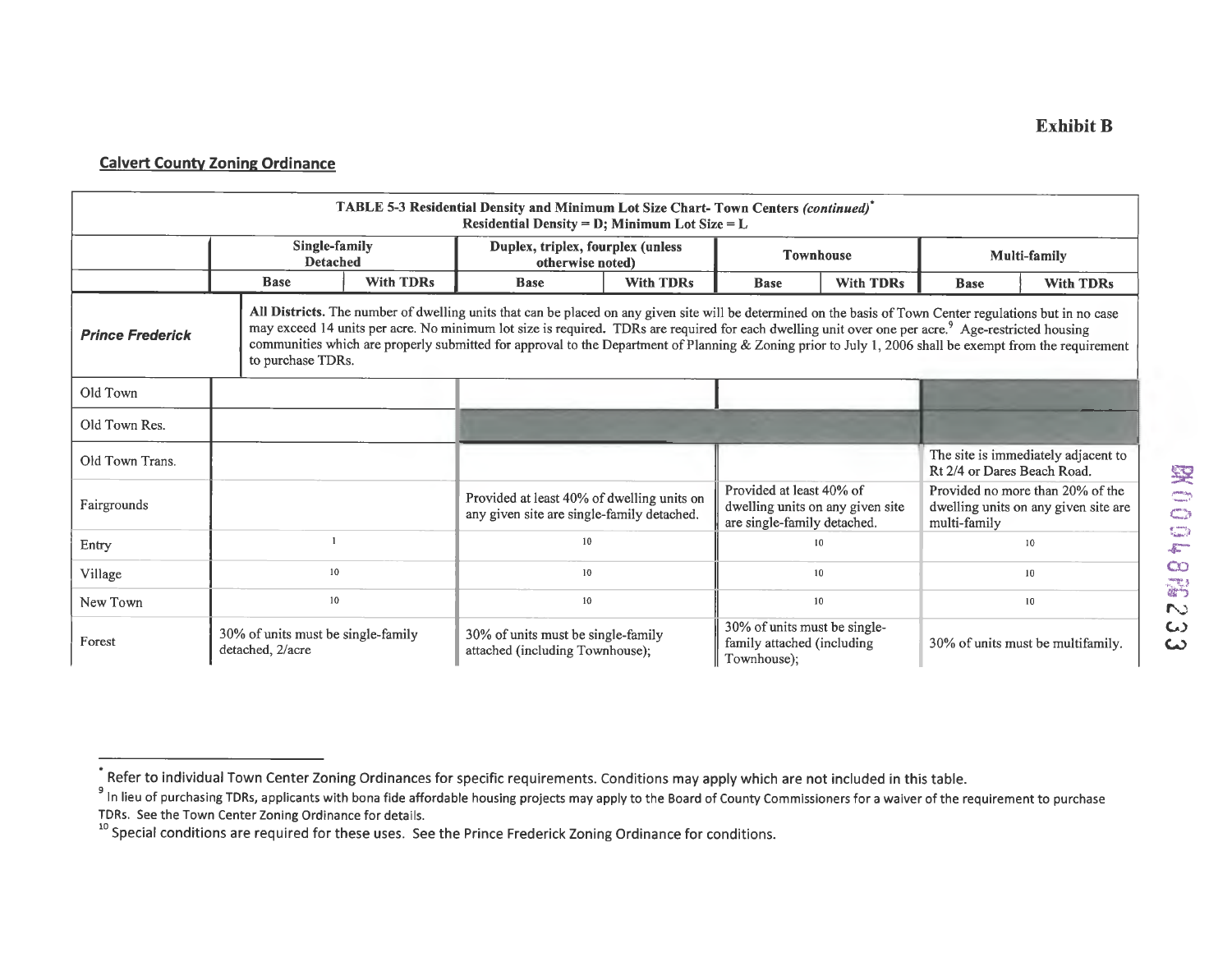| TABLE 5-3 Residential Density and Minimum Lot Size Chart-Town Centers (continued)*<br>Residential Density = $D$ ; Minimum Lot Size = $L$                                                                                                                                                                                                                                                                                                                                                                                                |                                                        |  |                                                                                          |  |                                                                                             |                 |                             |                                                                          |  |
|-----------------------------------------------------------------------------------------------------------------------------------------------------------------------------------------------------------------------------------------------------------------------------------------------------------------------------------------------------------------------------------------------------------------------------------------------------------------------------------------------------------------------------------------|--------------------------------------------------------|--|------------------------------------------------------------------------------------------|--|---------------------------------------------------------------------------------------------|-----------------|-----------------------------|--------------------------------------------------------------------------|--|
|                                                                                                                                                                                                                                                                                                                                                                                                                                                                                                                                         | Single-family<br><b>Detached</b>                       |  | Duplex, triplex, fourplex (unless<br>otherwise noted)                                    |  | <b>Townhouse</b>                                                                            |                 | <b>Multi-family</b>         |                                                                          |  |
|                                                                                                                                                                                                                                                                                                                                                                                                                                                                                                                                         | <b>With TDRs</b><br><b>Base</b>                        |  | <b>With TDRs</b><br><b>Base</b>                                                          |  | <b>With TDRs</b><br><b>Base</b>                                                             |                 | <b>Base</b>                 | <b>With TDRs</b>                                                         |  |
| All Districts. The number of dwelling units that can be placed on any given site will be determined on the basis of Town Center regulations but in no case<br>may exceed 14 units per acre. No minimum lot size is required. TDRs are required for each dwelling unit over one per acre. <sup>9</sup> Age-restricted housing<br><b>Prince Frederick</b><br>communities which are properly submitted for approval to the Department of Planning & Zoning prior to July 1, 2006 shall be exempt from the requirement<br>to purchase TDRs. |                                                        |  |                                                                                          |  |                                                                                             |                 |                             |                                                                          |  |
| Old Town                                                                                                                                                                                                                                                                                                                                                                                                                                                                                                                                |                                                        |  |                                                                                          |  |                                                                                             |                 |                             |                                                                          |  |
| Old Town Res.                                                                                                                                                                                                                                                                                                                                                                                                                                                                                                                           |                                                        |  |                                                                                          |  |                                                                                             |                 |                             |                                                                          |  |
| Old Town Trans.                                                                                                                                                                                                                                                                                                                                                                                                                                                                                                                         |                                                        |  |                                                                                          |  |                                                                                             |                 | Rt 2/4 or Dares Beach Road. | The site is immediately adjacent to                                      |  |
| Fairgrounds                                                                                                                                                                                                                                                                                                                                                                                                                                                                                                                             |                                                        |  | Provided at least 40% of dwelling units on<br>any given site are single-family detached. |  | Provided at least 40% of<br>dwelling units on any given site<br>are single-family detached. |                 | multi-family                | Provided no more than 20% of the<br>dwelling units on any given site are |  |
| Entry                                                                                                                                                                                                                                                                                                                                                                                                                                                                                                                                   |                                                        |  | 10                                                                                       |  |                                                                                             | 10              |                             | 10                                                                       |  |
| Village                                                                                                                                                                                                                                                                                                                                                                                                                                                                                                                                 | 10                                                     |  | 10                                                                                       |  |                                                                                             | 10 <sup>°</sup> |                             | 10                                                                       |  |
| New Town                                                                                                                                                                                                                                                                                                                                                                                                                                                                                                                                | 10                                                     |  | 10                                                                                       |  |                                                                                             | 10 <sup>°</sup> |                             | 10                                                                       |  |
| Forest                                                                                                                                                                                                                                                                                                                                                                                                                                                                                                                                  | 30% of units must be single-family<br>detached, 2/acre |  | 30% of units must be single-family<br>attached (including Townhouse);                    |  | 30% of units must be single-<br>family attached (including<br>Townhouse);                   |                 |                             | 30% of units must be multifamily.                                        |  |

<sup>.&</sup>lt;br>Refer to individual Town Center Zoning Ordinances for specific requirements. Conditions may apply which are not included in this table.

PINITED TO THE TENT TERRS APPlicants with bona fide affordable housing projects may apply to the Board of County Commissioners for a waiver of the requirement to purchase TDRs. See the Town Center Zoning Ordinance for details.

<sup>&</sup>lt;sup>10</sup> Special conditions are required for these uses. See the Prince Frederick Zoning Ordinance for conditions.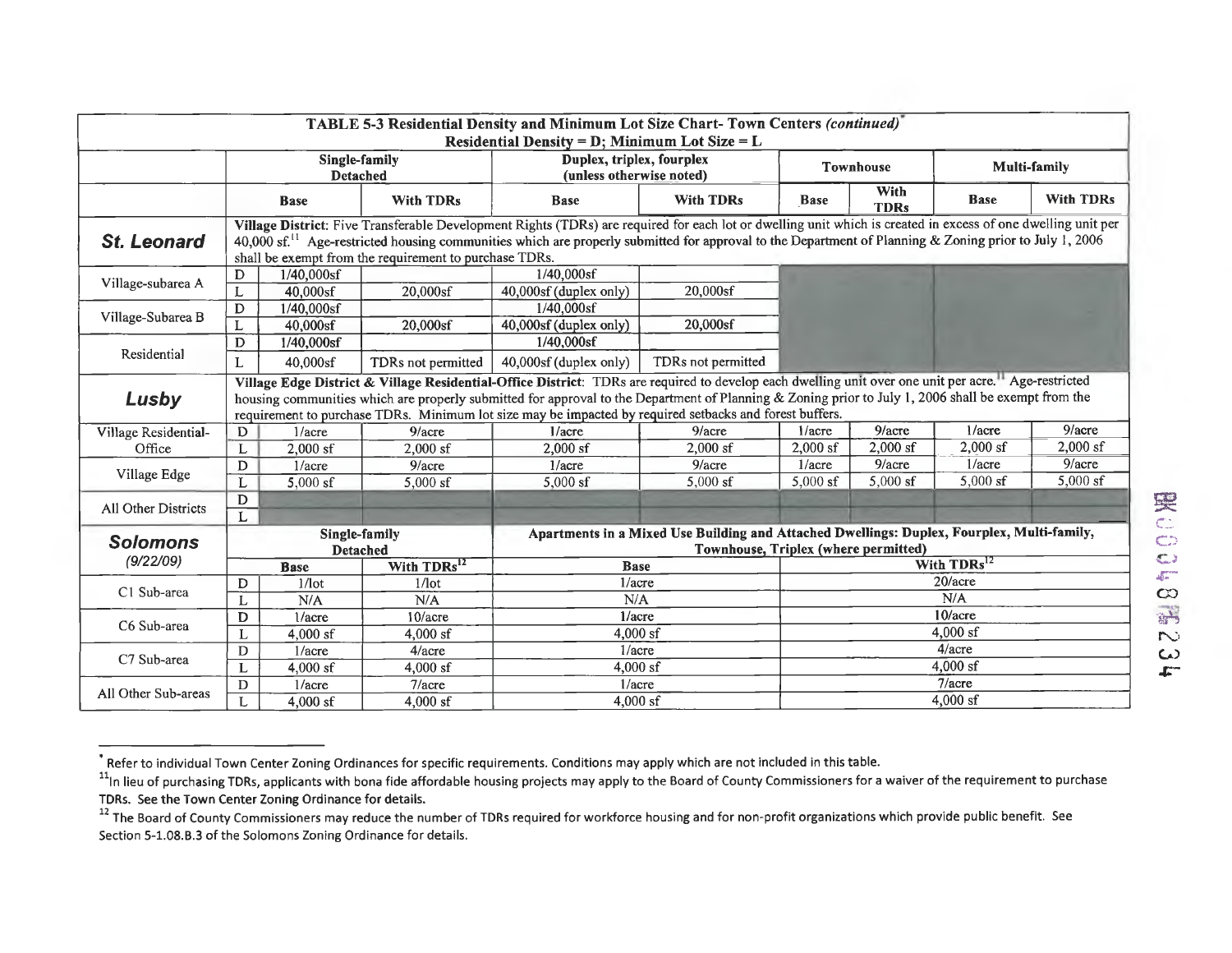| TABLE 5-3 Residential Density and Minimum Lot Size Chart- Town Centers (continued)<br>Residential Density = $D$ ; Minimum Lot Size = $L$ |                                                                                                                                                                                                                                                                                                                                                                                                                        |                                  |                                                       |                                                                                                                                    |                    |                  |                     |             |                  |  |
|------------------------------------------------------------------------------------------------------------------------------------------|------------------------------------------------------------------------------------------------------------------------------------------------------------------------------------------------------------------------------------------------------------------------------------------------------------------------------------------------------------------------------------------------------------------------|----------------------------------|-------------------------------------------------------|------------------------------------------------------------------------------------------------------------------------------------|--------------------|------------------|---------------------|-------------|------------------|--|
|                                                                                                                                          | Single-family<br><b>Detached</b>                                                                                                                                                                                                                                                                                                                                                                                       |                                  | Duplex, triplex, fourplex<br>(unless otherwise noted) |                                                                                                                                    | <b>Townhouse</b>   |                  | Multi-family        |             |                  |  |
|                                                                                                                                          |                                                                                                                                                                                                                                                                                                                                                                                                                        | <b>Base</b>                      | <b>With TDRs</b>                                      | <b>Base</b>                                                                                                                        | <b>With TDRs</b>   | <b>Base</b>      | With<br><b>TDRs</b> | <b>Base</b> | <b>With TDRs</b> |  |
| <b>St. Leonard</b>                                                                                                                       | Village District: Five Transferable Development Rights (TDRs) are required for each lot or dwelling unit which is created in excess of one dwelling unit per<br>40,000 sf. <sup>11</sup> Age-restricted housing communities which are properly submitted for approval to the Department of Planning & Zoning prior to July 1, 2006<br>shall be exempt from the requirement to purchase TDRs.                           |                                  |                                                       |                                                                                                                                    |                    |                  |                     |             |                  |  |
| Village-subarea A                                                                                                                        | D                                                                                                                                                                                                                                                                                                                                                                                                                      | $1/40,000$ sf                    |                                                       | 1/40,000sf                                                                                                                         |                    |                  |                     |             |                  |  |
|                                                                                                                                          |                                                                                                                                                                                                                                                                                                                                                                                                                        | $40,000$ sf                      | 20,000sf                                              | 40,000sf (duplex only)                                                                                                             | 20,000sf           |                  |                     |             |                  |  |
| Village-Subarea B                                                                                                                        | D                                                                                                                                                                                                                                                                                                                                                                                                                      | $1/40,000$ sf                    |                                                       | 1/40.000sf                                                                                                                         |                    |                  |                     |             |                  |  |
|                                                                                                                                          | L                                                                                                                                                                                                                                                                                                                                                                                                                      | 40,000sf                         | 20,000sf                                              | 40,000sf (duplex only)                                                                                                             | 20,000sf           |                  |                     |             |                  |  |
|                                                                                                                                          | D                                                                                                                                                                                                                                                                                                                                                                                                                      | $1/40,000$ sf                    |                                                       | 1/40,000sf                                                                                                                         |                    |                  |                     |             |                  |  |
| Residential                                                                                                                              | L                                                                                                                                                                                                                                                                                                                                                                                                                      | 40,000sf                         | TDRs not permitted                                    | 40,000sf (duplex only)                                                                                                             | TDRs not permitted |                  |                     |             |                  |  |
| Lusby                                                                                                                                    | Village Edge District & Village Residential-Office District: TDRs are required to develop each dwelling unit over one unit per acre." Age-restricted<br>housing communities which are properly submitted for approval to the Department of Planning & Zoning prior to July 1, 2006 shall be exempt from the<br>requirement to purchase TDRs. Minimum lot size may be impacted by required setbacks and forest buffers. |                                  |                                                       |                                                                                                                                    |                    |                  |                     |             |                  |  |
| Village Residential-                                                                                                                     | D                                                                                                                                                                                                                                                                                                                                                                                                                      | $1/a$ cre                        | $9/$ acre                                             | $1/$ acre                                                                                                                          | 9/accre            | $1/a$ cre        | 9/acre              | $1/$ acre   | $9/$ acre        |  |
| Office                                                                                                                                   |                                                                                                                                                                                                                                                                                                                                                                                                                        | $2,000$ sf                       | $2,000$ sf                                            | $2.000$ sf                                                                                                                         | $2,000$ sf         | $2,000$ sf       | $2,000$ sf          | $2,000$ sf  | $2,000$ sf       |  |
|                                                                                                                                          | D                                                                                                                                                                                                                                                                                                                                                                                                                      | 1/accre                          | 9/accre                                               | $1/$ acre                                                                                                                          | 9/accre            | $1/$ acre        | $9/$ acre           | $1/a$ cre   | 9/acre           |  |
| Village Edge                                                                                                                             |                                                                                                                                                                                                                                                                                                                                                                                                                        | $5,000$ sf                       | $5,000$ sf                                            | $5,000$ sf                                                                                                                         | $5,000$ sf         | $5.000$ sf       | $5,000$ sf          | $5,000$ sf  | $5,000$ sf       |  |
| All Other Districts                                                                                                                      | $\mathbf D$                                                                                                                                                                                                                                                                                                                                                                                                            |                                  |                                                       |                                                                                                                                    |                    |                  |                     |             |                  |  |
|                                                                                                                                          | L                                                                                                                                                                                                                                                                                                                                                                                                                      |                                  |                                                       |                                                                                                                                    |                    |                  |                     |             |                  |  |
| <b>Solomons</b>                                                                                                                          |                                                                                                                                                                                                                                                                                                                                                                                                                        | Single-family<br><b>Detached</b> |                                                       | Apartments in a Mixed Use Building and Attached Dwellings: Duplex, Fourplex, Multi-family,<br>Townhouse, Triplex (where permitted) |                    |                  |                     |             |                  |  |
| (9/22/09)                                                                                                                                |                                                                                                                                                                                                                                                                                                                                                                                                                        | <b>Base</b>                      | With TDRs <sup>12</sup>                               | <b>Base</b>                                                                                                                        |                    | With $TDRs^{12}$ |                     |             |                  |  |
|                                                                                                                                          | D                                                                                                                                                                                                                                                                                                                                                                                                                      | $1/1$ ot                         | $1/$ lot                                              | $1/a$ cre                                                                                                                          |                    | 20/acre          |                     |             |                  |  |
| C1 Sub-area                                                                                                                              |                                                                                                                                                                                                                                                                                                                                                                                                                        | N/A                              | N/A                                                   | N/A                                                                                                                                |                    | N/A              |                     |             |                  |  |
|                                                                                                                                          | D                                                                                                                                                                                                                                                                                                                                                                                                                      | 1/accre                          | 10/accre                                              | 1/accre                                                                                                                            |                    | 10/accre         |                     |             |                  |  |
| C6 Sub-area                                                                                                                              |                                                                                                                                                                                                                                                                                                                                                                                                                        | $4,000$ sf                       | $4.000$ sf                                            | $4,000$ sf                                                                                                                         |                    | 4,000 sf         |                     |             |                  |  |
|                                                                                                                                          | D                                                                                                                                                                                                                                                                                                                                                                                                                      | $1/a$ cre                        | 4/accre                                               | $1/a$ cre                                                                                                                          |                    | 4/acre           |                     |             |                  |  |
| C7 Sub-area                                                                                                                              | L                                                                                                                                                                                                                                                                                                                                                                                                                      | $4,000$ sf                       | $4,000$ sf                                            | $4,000$ sf                                                                                                                         |                    | 4,000 sf         |                     |             |                  |  |
|                                                                                                                                          | D                                                                                                                                                                                                                                                                                                                                                                                                                      | 1/accre                          | $7/$ acre                                             | $1/a$ cre                                                                                                                          |                    | $7/$ acre        |                     |             |                  |  |
| All Other Sub-areas                                                                                                                      | L                                                                                                                                                                                                                                                                                                                                                                                                                      | $4.000$ sf                       | $4,000$ sf                                            | $4,000$ sf                                                                                                                         | $4,000$ sf         |                  |                     |             |                  |  |

**<sup>•</sup> Refer to** individual Town Center Zoning Ordinances for specific requirements. Conditions may apply which are not included in this **table.** 

<sup>&</sup>lt;sup>11</sup>In lieu of purchasing TDRs, applicants with bona fide affordable housing projects may apply to the Board of County Commissioners for a waiver of the requirement to purchase **TDRs. See the Town Center Zoning Ordinance for details.** 

<sup>&</sup>lt;sup>12</sup> The Board of County Commissioners may reduce the number of TDRs required for workforce housing and for non-profit organizations which provide public benefit. See Section 5-1.08.6.3 of the Solomons Zoning Ordinance for details.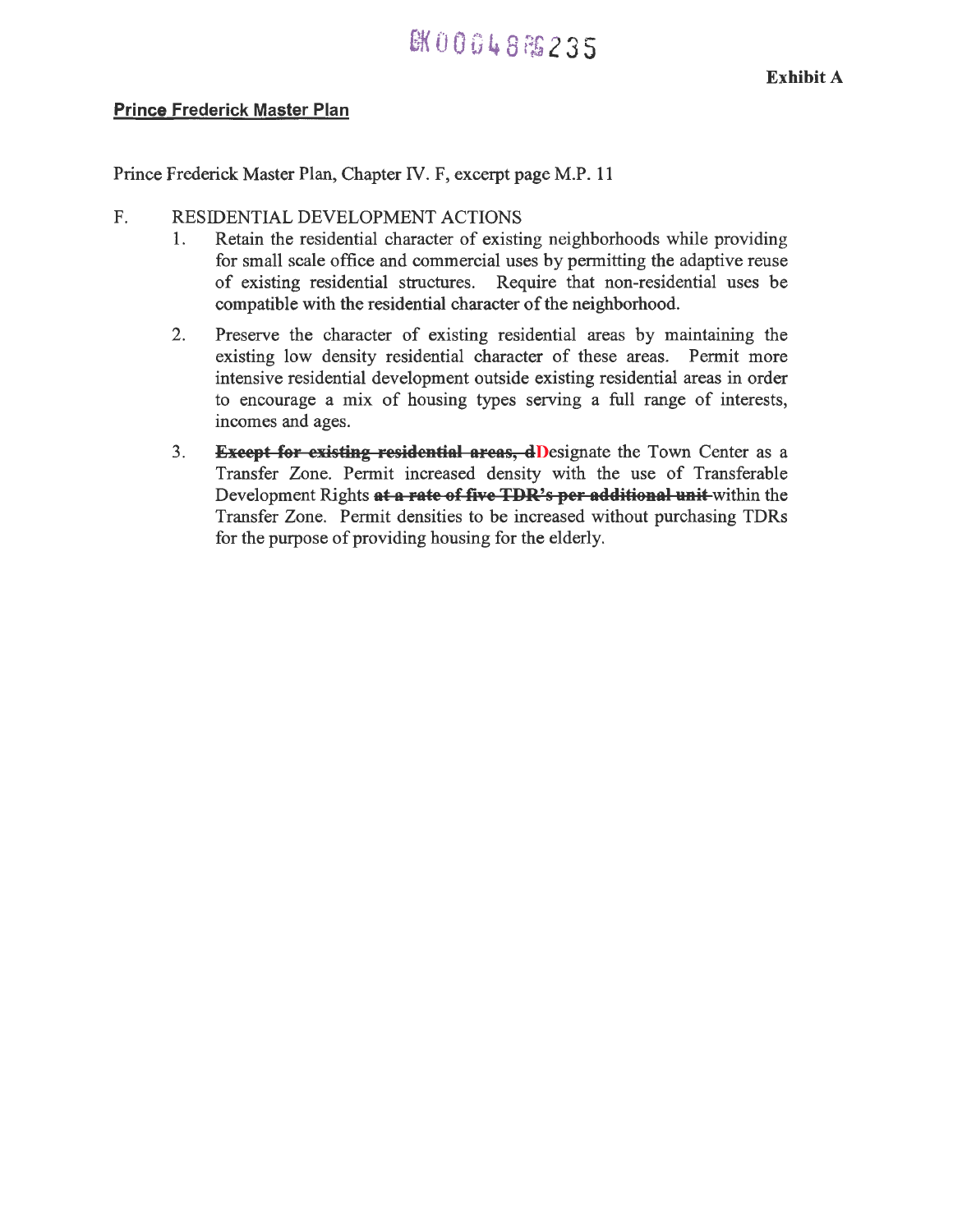## EK00048 PS 2 3 5

#### **Prince Frederick Master Plan**

Prince Frederick Master Plan, Chapter IV. F, excerpt page M.P. 11

#### F. RESIDENTIAL DEVELOPMENT ACTIONS

- 1. Retain the residential character of existing neighborhoods while providing for small scale office and commercial uses by permitting the adaptive reuse of existing residential structures. Require that non-residential uses be compatible with the residential character of the neighborhood.
- 2. Preserve the character of existing residential areas by maintaining the existing low density residential character of these areas. Permit more intensive residential development outside existing residential areas in order to encourage a mix of housing types serving a full range of interests, incomes and ages.
- 3. **Except for existing residential areas, dD**esignate the Town Center as a Transfer Zone. Permit increased density with the use of Transferable Development Rights at a rate of five TDR's per additional unit within the Transfer Zone. Permit densities to be increased without purchasing TDRs for the purpose of providing housing for the elderly.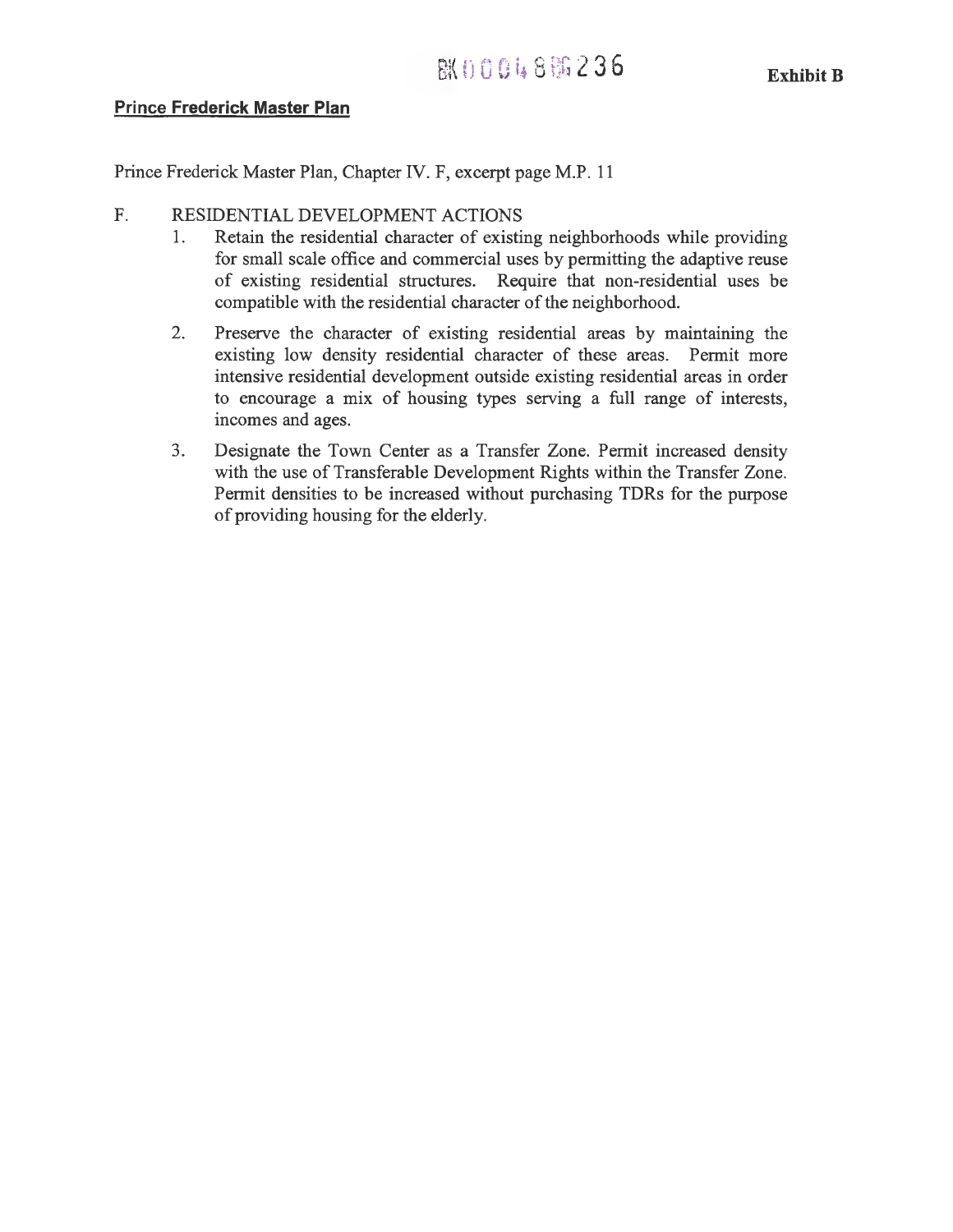#### **Prince Frederick Master Plan**

Prince Frederick Master Plan, Chapter IV. F, excerpt page M.P. 11

#### F. RESIDENTIAL DEVELOPMENT ACTIONS

- 1. Retain the residential character of existing neighborhoods while providing for small scale office and commercial uses by permitting the adaptive reuse of existing residential structures. Require that non-residential uses be compatible with the residential character of the neighborhood.
- 2. Preserve the character of existing residential areas by maintaining the existing low density residential character of these areas. Permit more intensive residential development outside existing residential areas in order to encourage a mix of housing types serving a full range of interests, incomes and ages.
- 3. Designate the Town Center as a Transfer Zone. Permit increased density with the use of Transferable Development Rights within the Transfer Zone. Permit densities to be increased without purchasing TDRs for the purpose of providing housing for the elderly.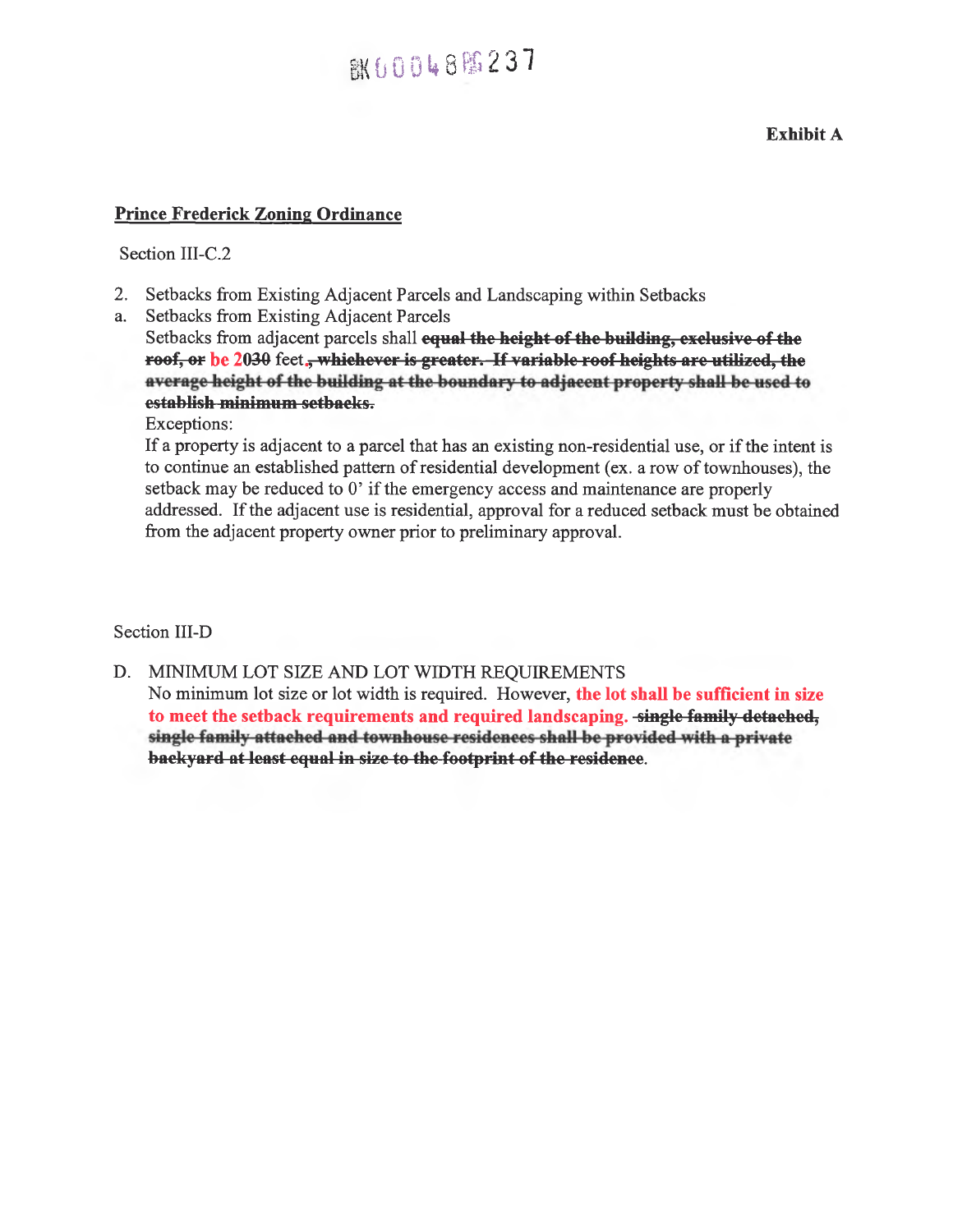# **BK60048臨237**

**Exhibit A** 

#### **Prince Frederick Zoning Ordinance**

Section III-C.2

- 2. Setbacks from Existing Adjacent Parcels and Landscaping within Setbacks
- a. Setbacks from Existing Adjacent Parcels

Setbacks from adjacent parcels shall equal the height of the building, exclusive of the roof, or be 2030 feet., whichever is greater. If variable roof heights are utilized, the average height of the building at the boundary to adjacent property shall be used to **establish minimum setbacks.** 

Exceptions:

If a property is adjacent to a parcel that has an existing non-residential use, or if the intent is to continue an established pattern of residential development (ex. a row of townhouses), the setback may be reduced to 0' if the emergency access and maintenance are properly addressed. If the adjacent use is residential, approval for a reduced setback must be obtained from the adjacent property owner prior to preliminary approval.

Section III-D

D. MINIMUM LOT SIZE AND LOT WIDTH REQUIREMENTS No minimum lot size or lot width is required. However, **the lot shall be sufficient in size**  to meet the setback requirements and required landscaping. -single-family-detached, single family attached and townhouse residences shall be provided with a private backyard at least equal in size to the footprint of the residence.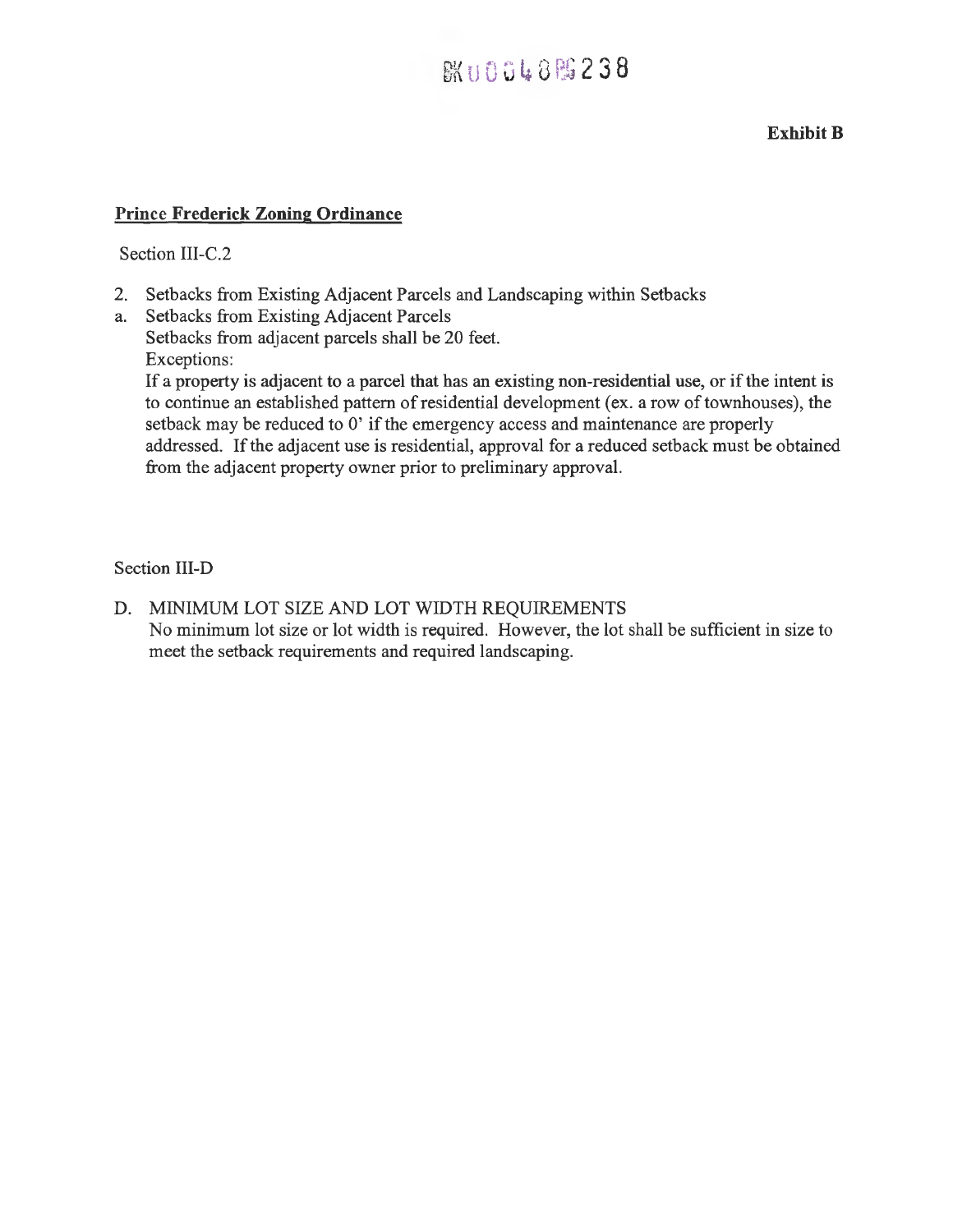### **BKU0048 图 238**

#### **Exhibit B**

#### **Prince Frederick Zoning Ordinance**

#### Section III-C.2

- 2. Setbacks from Existing Adjacent Parcels and Landscaping within Setbacks
- a. Setbacks from Existing Adjacent Parcels Setbacks from adjacent parcels shall be 20 feet. Exceptions:

If a property is adjacent to a parcel that has an existing non-residential use, or if the intent is to continue an established pattern of residential development (ex. a row of townhouses), the setback may be reduced to 0' if the emergency access and maintenance are properly addressed. If the adjacent use is residential, approval for a reduced setback must be obtained from the adjacent property owner prior to preliminary approval.

#### Section **III-D**

D. MINIMUM LOT SIZE AND LOT WIDTH REQUIREMENTS No minimum lot size or lot width is required. However, the lot shall be sufficient in size to meet the setback requirements and required landscaping.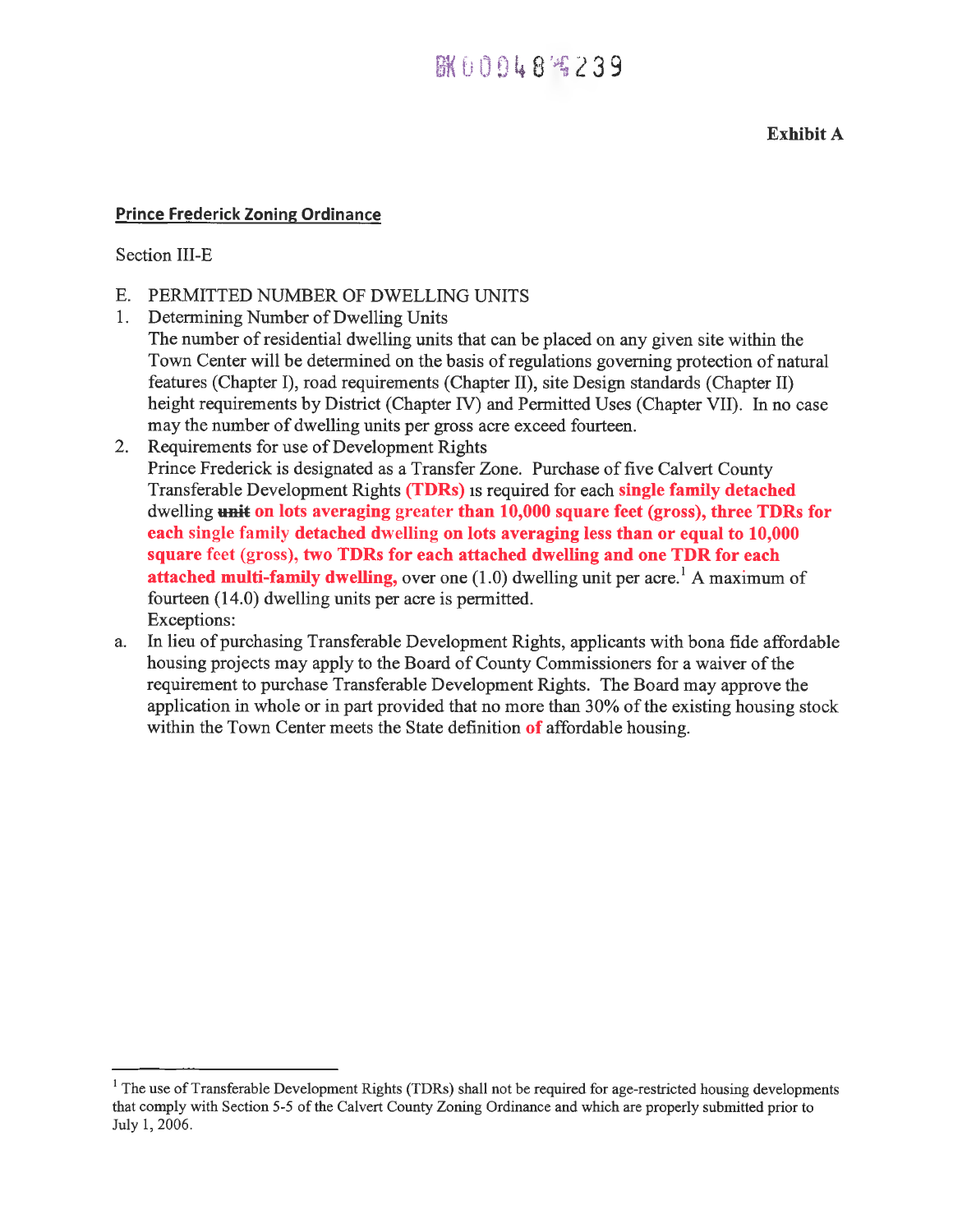### 胱00048%239

#### **Exhibit A**

#### **Prince Frederick Zoning Ordinance**

Section III-E

- E. PERMITTED NUMBER OF DWELLING UNITS
- 1. Determining Number of Dwelling Units The number of residential dwelling units that can be placed on any given site within the Town Center will be determined on the basis of regulations governing protection of natural features (Chapter I), road requirements (Chapter II), site Design standards (Chapter II) height requirements by District (Chapter IV) and Permitted Uses (Chapter VII). In no case may the number of dwelling units per gross acre exceed fourteen.
- 2. Requirements for use of Development Rights Prince Frederick is designated as a Transfer Zone. Purchase of five Calvert County Transferable Development Rights **(TDRs)** is required for each **single family detached**  dwelling **unit on lots averaging** greater **than 10,000 square feet (gross), three TDRs for each** single family **detached dwelling on lots averaging less than or equal to 10,000 square** feet (gross), **two TDRs for each attached dwelling and one TDR for each attached multi-family dwelling,** over one (1.0) dwelling unit per acre.' A maximum of fourteen (14.0) dwelling units per acre is permitted. Exceptions:
- a. In lieu of purchasing Transferable Development Rights, applicants with bona fide affordable housing projects may apply to the Board of County Commissioners for a waiver of the requirement to purchase Transferable Development Rights. The Board may approve the application in whole or in part provided that no more than 30% of the existing housing stock within the Town Center meets the State definition **of** affordable housing.

<sup>&</sup>lt;sup>1</sup> The use of Transferable Development Rights (TDRs) shall not be required for age-restricted housing developments that comply with Section 5-5 of the Calvert County Zoning Ordinance and which are properly submitted prior to July 1, 2006.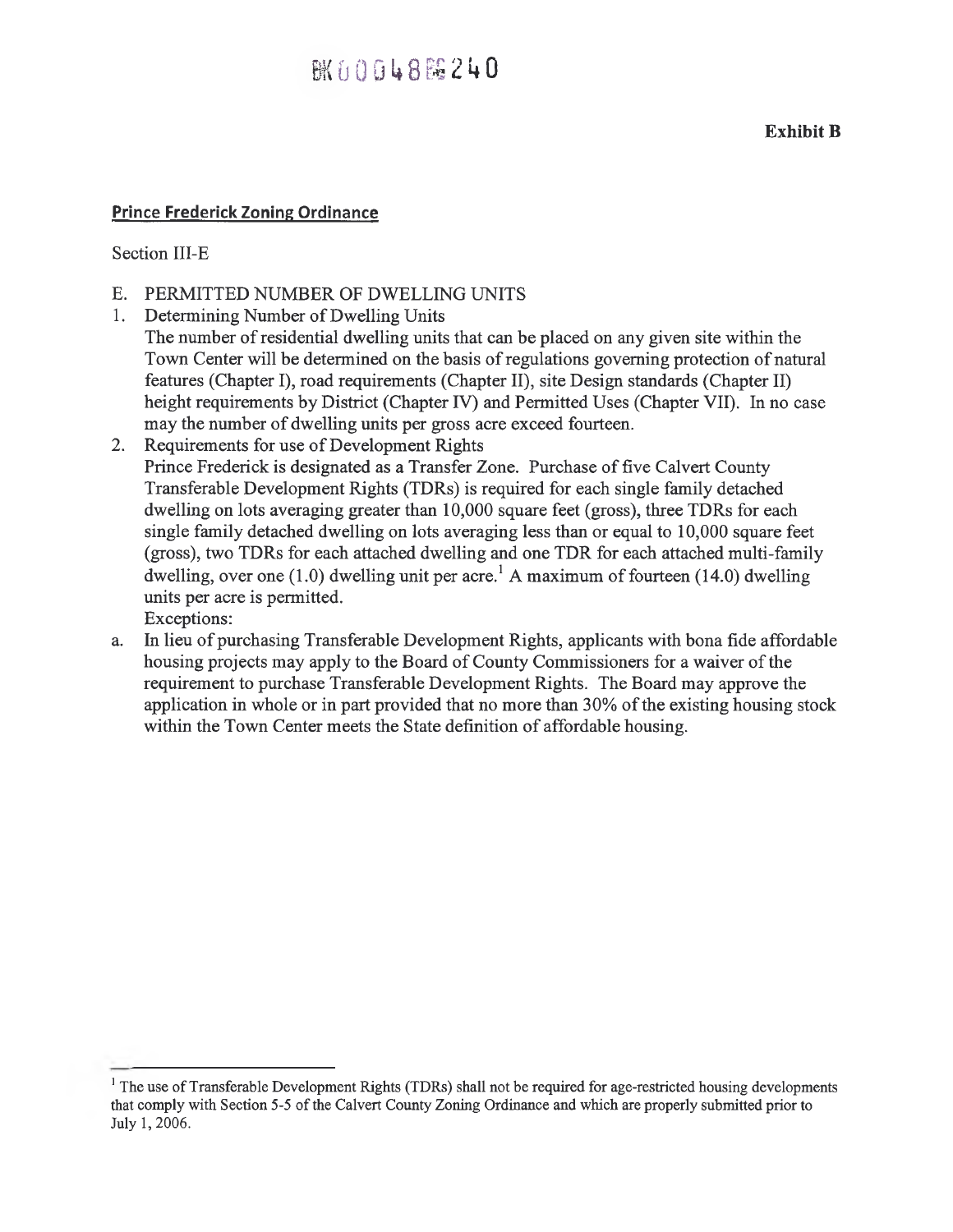### **AK行自自信8隔240**

**Exhibit B** 

#### **Prince Frederick Zoning Ordinance**

#### Section III-E

- E. PERMITTED NUMBER OF DWELLING UNITS
- 1. Determining Number of Dwelling Units The number of residential dwelling units that can be placed on any given site within the Town Center will be determined on the basis of regulations governing protection of natural features (Chapter I), road requirements (Chapter II), site Design standards (Chapter II) height requirements by District (Chapter IV) and Permitted Uses (Chapter VII). In no case may the number of dwelling units per gross acre exceed fourteen.
- 2. Requirements for use of Development Rights Prince Frederick is designated as a Transfer Zone. Purchase of five Calvert County Transferable Development Rights (TDRs) is required for each single family detached dwelling on lots averaging greater than 10,000 square feet (gross), three TDRs for each single family detached dwelling on lots averaging less than or equal to 10,000 square feet (gross), two TDRs for each attached dwelling and one TDR for each attached multi-family dwelling, over one (1.0) dwelling unit per acre.<sup>1</sup> A maximum of fourteen (14.0) dwelling units per acre is permitted. Exceptions:
- a. In lieu of purchasing Transferable Development Rights, applicants with bona fide affordable housing projects may apply to the Board of County Commissioners for a waiver of the requirement to purchase Transferable Development Rights. The Board may approve the application in whole or in part provided that no more than 30% of the existing housing stock within the Town Center meets the State definition of affordable housing.

<sup>&</sup>lt;sup>1</sup> The use of Transferable Development Rights (TDRs) shall not be required for age-restricted housing developments that comply with Section 5-5 of the Calvert County Zoning Ordinance and which are properly submitted prior to July 1, 2006.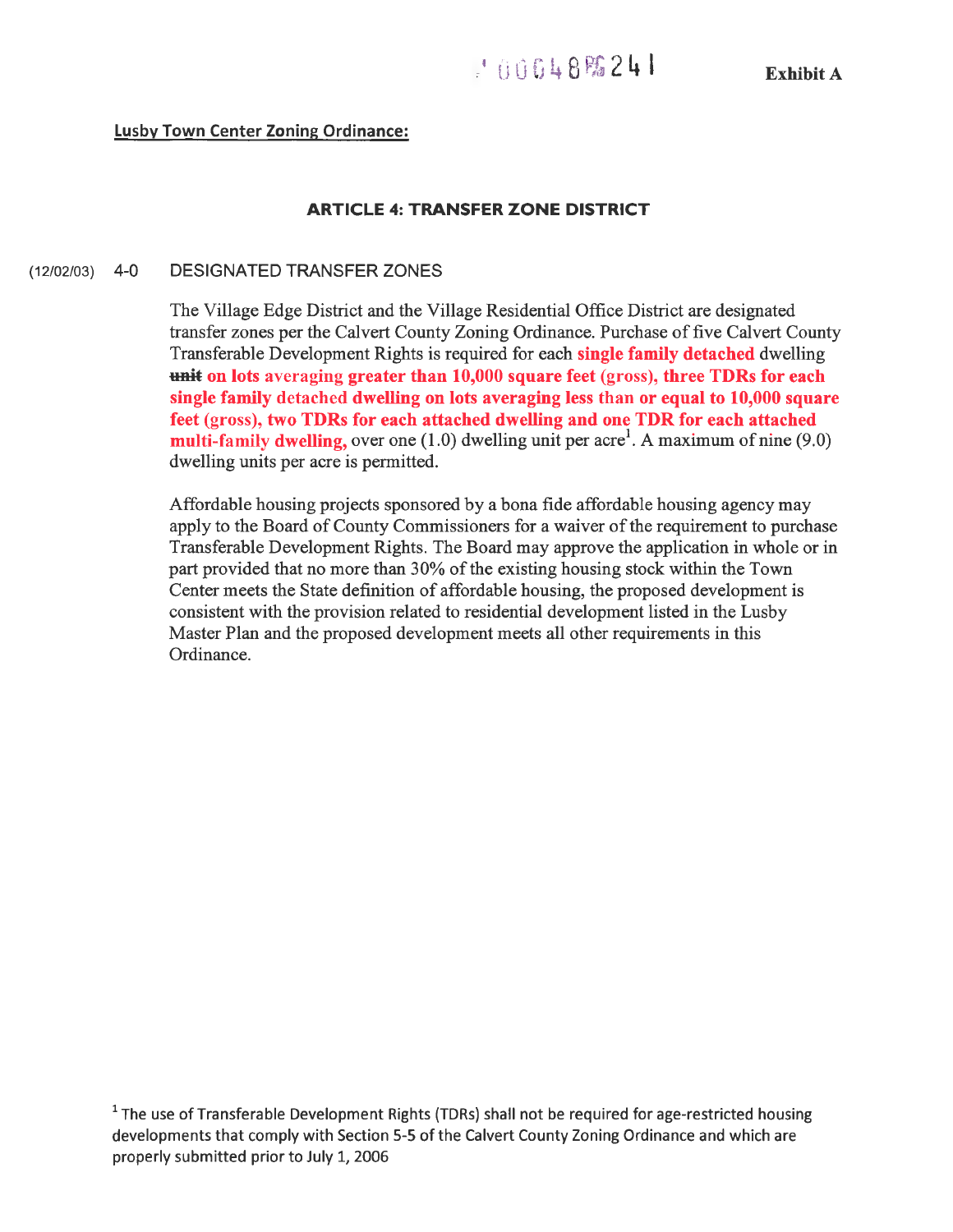#### **Lusby Town Center Zoning Ordinance:**

#### **ARTICLE 4: TRANSFER ZONE DISTRICT**

#### (12/02/03) 4-0 DESIGNATED TRANSFER ZONES

The Village Edge District and the Village Residential Office District are designated transfer zones per the Calvert County Zoning Ordinance. Purchase of five Calvert County Transferable Development Rights is required for each **single family detached** dwelling **+mit on lots** averaging **greater than 10,000 square feet** (gross), **three TDRs for each single family** detached **dwelling on lots averaging less than or equal to 10,000 square feet** (gross), **two TDRs for each attached dwelling and one TDR for each attached multi-family dwelling,** over one  $(1.0)$  dwelling unit per acre<sup>1</sup>. A maximum of nine  $(9.0)$ dwelling units per acre is permitted.

Affordable housing projects sponsored by a bona fide affordable housing agency may apply to the Board of County Commissioners for a waiver of the requirement to purchase Transferable Development Rights. The Board may approve the application in whole or in part provided that no more than 30% of the existing housing stock within the Town Center meets the State definition of affordable housing, the proposed development is consistent with the provision related to residential development listed in the Lusby Master Plan and the proposed development meets all other requirements in this Ordinance.

 $1$  The use of Transferable Development Rights (TDRs) shall not be required for age-restricted housing developments that comply with Section 5-5 of the Calvert County Zoning Ordinance and which are properly submitted prior to July 1, 2006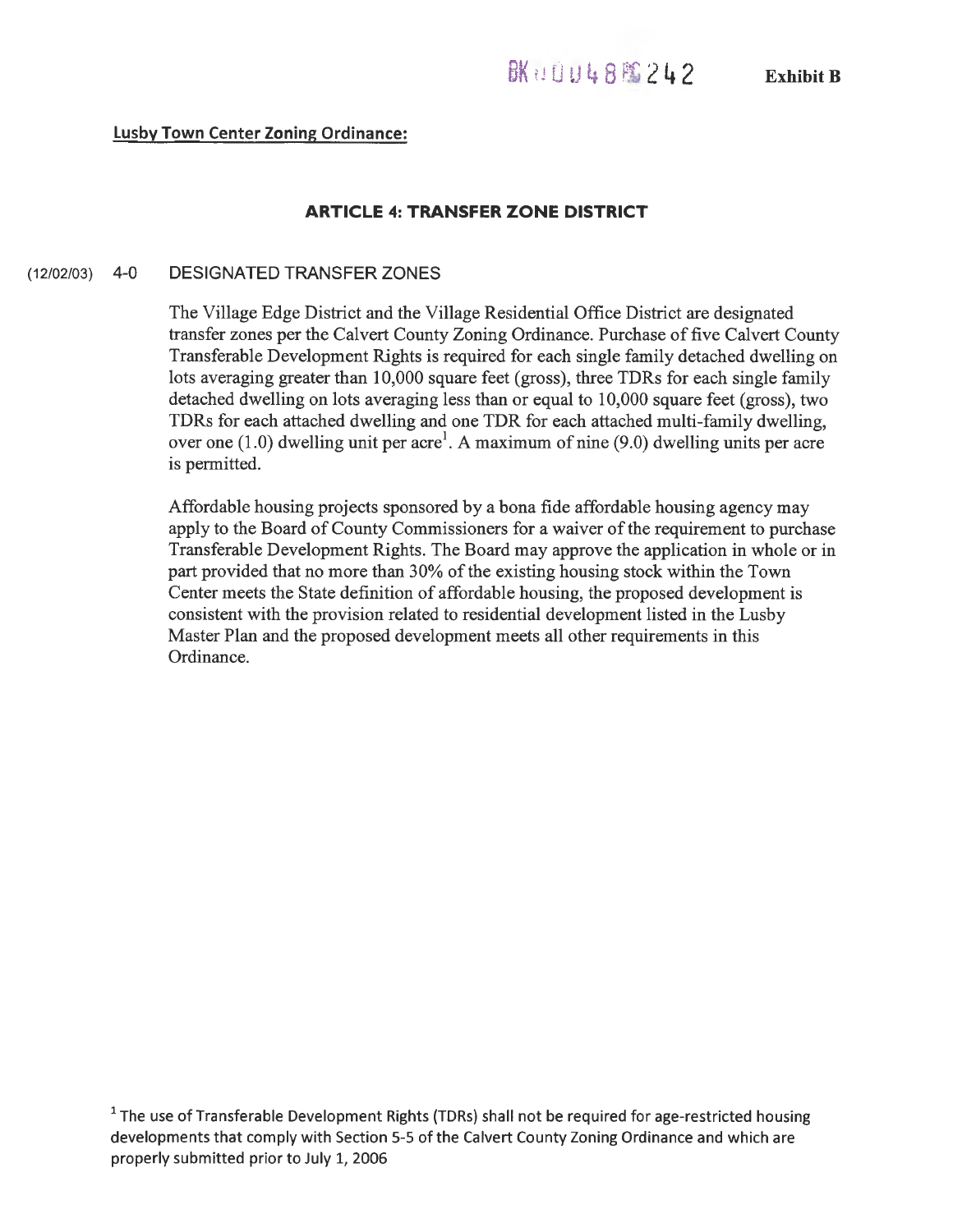#### **Lusby Town Center Zoning Ordinance:**

#### **ARTICLE 4: TRANSFER ZONE DISTRICT**

#### (12/02/03) **4-0 DESIGNATED TRANSFER ZONES**

The Village Edge District and the Village Residential Office District are designated transfer zones per the Calvert County Zoning Ordinance. Purchase of five Calvert County Transferable Development Rights is required for each single family detached dwelling on lots averaging greater than 10,000 square feet (gross), three TDRs for each single family detached dwelling on lots averaging less than or equal to 10,000 square feet (gross), two TDRs for each attached dwelling and one TDR for each attached multi-family dwelling, over one (1.0) dwelling unit per acre<sup>1</sup>. A maximum of nine (9.0) dwelling units per acre is permitted.

Affordable housing projects sponsored by a bona fide affordable housing agency may apply to the Board of County Commissioners for a waiver of the requirement to purchase Transferable Development Rights. The Board may approve the application in whole or in part provided that no more than 30% of the existing housing stock within the Town Center meets the State definition of affordable housing, the proposed development is consistent with the provision related to residential development listed in the Lusby Master Plan and the proposed development meets all other requirements in this Ordinance.

 $1$  The use of Transferable Development Rights (TDRs) shall not be required for age-restricted housing developments that comply with Section 5-5 of the Calvert County Zoning Ordinance and which are properly submitted prior to July 1, 2006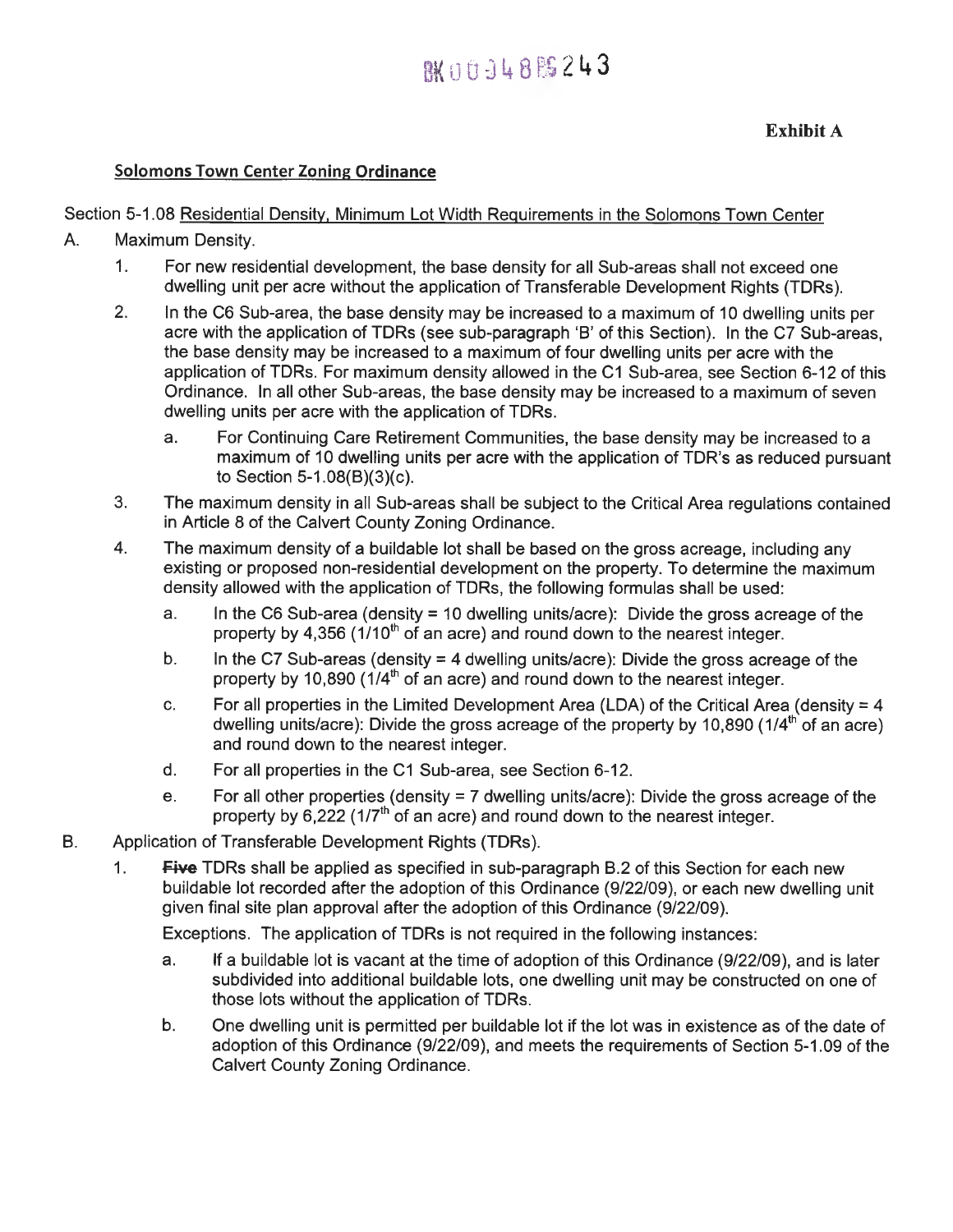## 图 00948243

#### **Solomons Town Center Zoning Ordinance**

#### Section 5-1.08 Residential Density, Minimum Lot Width Requirements in the Solomons Town Center

- A. Maximum Density.
	- 1. For new residential development, the base density for all Sub-areas shall not exceed one dwelling unit per acre without the application of Transferable Development Rights (TDRs).
	- 2. In the C6 Sub-area, the base density may be increased to a maximum of 10 dwelling units per acre with the application of TDRs (see sub-paragraph **'B'** of this Section). In the C7 Sub-areas, the base density may be increased to a maximum of four dwelling units per acre with the application of TDRs. For maximum density allowed in the C1 Sub-area, see Section 6-12 of this Ordinance. In all other Sub-areas, the base density may be increased to a maximum of seven dwelling units per acre with the application of TDRs.
		- a. For Continuing Care Retirement Communities, the base density may be increased to a maximum of 10 dwelling units per acre with the application of TDR's as reduced pursuant to Section 5-1.08(B)(3)(c).
	- 3. The maximum density in all Sub-areas shall be subject to the Critical Area regulations contained in Article 8 of the Calvert County Zoning Ordinance.
	- 4. The maximum density of a buildable lot shall be based on the gross acreage, including any existing or proposed non-residential development on the property. To determine the maximum density allowed with the application of TDRs, the following formulas shall be used:
		- a. In the C6 Sub-area (density = 10 dwelling units/acre): Divide the gross acreage of the property by 4,356 ( $1/10<sup>th</sup>$  of an acre) and round down to the nearest integer.
		- b. In the C7 Sub-areas (density  $=$  4 dwelling units/acre): Divide the gross acreage of the property by 10,890 (1/4<sup>th</sup> of an acre) and round down to the nearest integer.
		- c. For all properties in the Limited Development Area (LDA) of the Critical Area (density  $= 4$ dwelling units/acre): Divide the gross acreage of the property by 10,890 (1/4<sup>th</sup> of an acre) and round down to the nearest integer.
		- d. For all properties in the C1 Sub-area, see Section 6-12.
		- e. For all other properties (density = 7 dwelling units/acre): Divide the gross acreage of the property by  $6.222$  (1/7<sup>th</sup> of an acre) and round down to the nearest integer.
- B. Application of Transferable Development Rights (TDRs).
	- 1. **Five** TDRs shall be applied as specified in sub-paragraph B.2 of this Section for each new buildable lot recorded after the adoption of this Ordinance (9/22/09), or each new dwelling unit given final site plan approval after the adoption of this Ordinance (9/22/09).

Exceptions. The application of TDRs is not required in the following instances:

- a. If a buildable lot is vacant at the time of adoption of this Ordinance (9/22/09), and is later subdivided into additional buildable lots, one dwelling unit may be constructed on one of those lots without the application of TDRs.
- b. One dwelling unit is permitted per buildable lot if the lot was in existence as of the date of adoption of this Ordinance (9/22/09), and meets the requirements of Section 5-1.09 of the Calvert County Zoning Ordinance.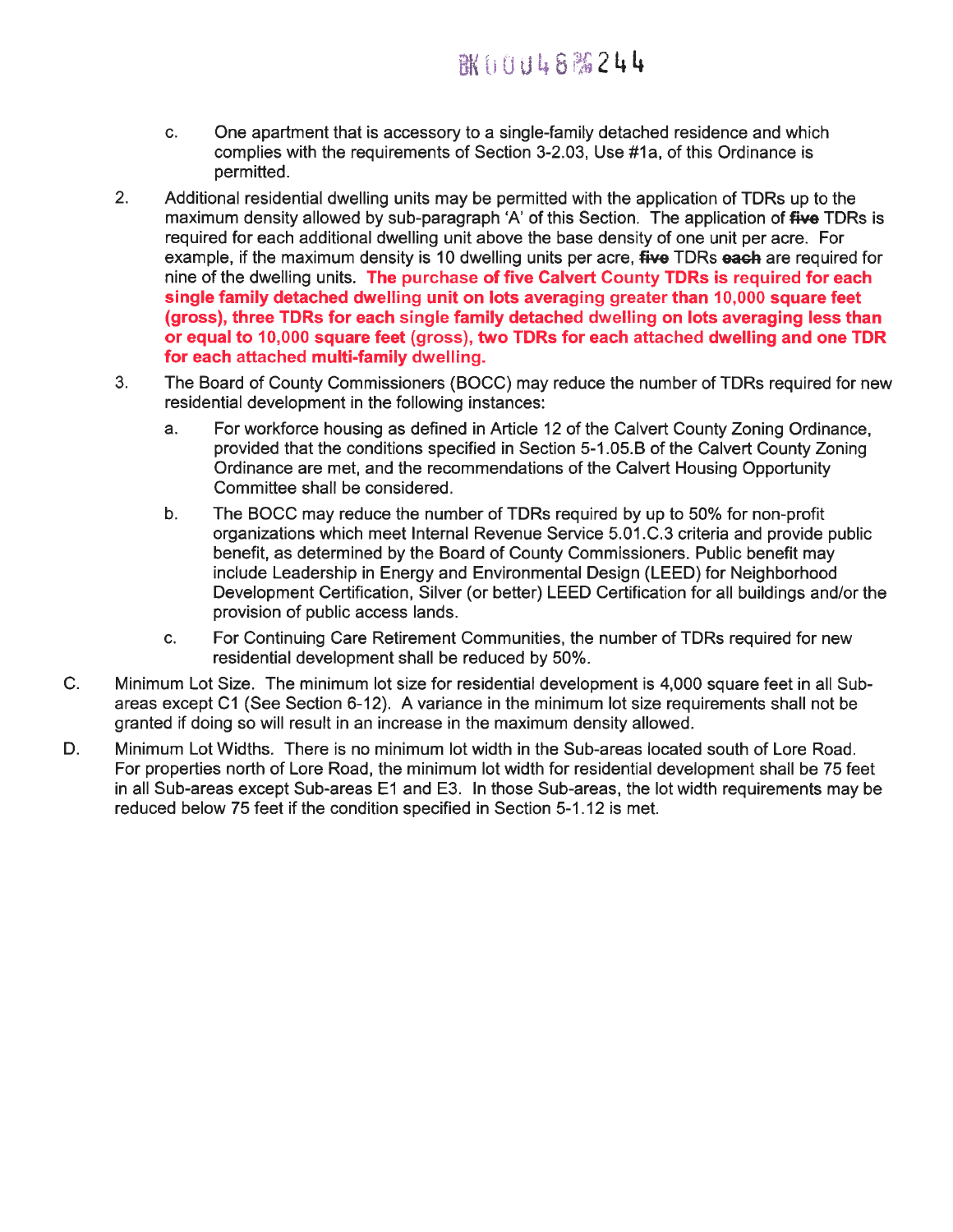- c. One apartment that is accessory to a single-family detached residence and which complies with the requirements of Section 3-2.03, Use #1a, of this Ordinance is permitted.
- 2. Additional residential dwelling units may be permitted with the application of TDRs up to the maximum density allowed by sub-paragraph 'A' of this Section. The application of **five** TDRs is required for each additional dwelling unit above the base density of one unit per acre. For example, if the maximum density is 10 dwelling units per acre, **five** TDRs **each** are required for nine of the dwelling units. **The purchase of five Calvert County TDRs is required for each single family detached dwelling unit on lots averaging greater than 10,000 square feet (gross), three TDRs for each single family detached dwelling on lots averaging less than or equal to 10,000 square feet** (gross), **two TDRs for each attached dwelling and one TDR for each attached multi-family dwelling.**
- 3. The Board of County Commissioners (BOCC) may reduce the number of TDRs required for new residential development in the following instances:
	- a. For workforce housing as defined in Article 12 of the Calvert County Zoning Ordinance, provided that the conditions specified in Section 5-1.05.B of the Calvert County Zoning Ordinance are met, and the recommendations of the Calvert Housing Opportunity Committee shall be considered.
	- b. The BOCC may reduce the number of TDRs required by up to 50% for non-profit organizations which meet Internal Revenue Service 5.01.C.3 criteria and provide public benefit, as determined by the Board of County Commissioners. Public benefit may include Leadership in Energy and Environmental Design (LEED) for Neighborhood Development Certification, Silver (or better) LEED Certification for all buildings and/or the provision of public access lands.
	- c. For Continuing Care Retirement Communities, the number of TDRs required for new residential development shall be reduced by 50%.
- C. Minimum Lot Size. The minimum lot size for residential development is 4,000 square feet in all Subareas except Cl (See Section 6-12). A variance in the minimum lot size requirements shall not be granted if doing so will result in an increase in the maximum density allowed.
- D. Minimum Lot Widths. There is no minimum lot width in the Sub-areas located south of Lore Road. For properties north of Lore Road, the minimum lot width for residential development shall be 75 feet in all Sub-areas except Sub-areas E1 and E3. In those Sub-areas, the lot width requirements may be reduced below 75 feet if the condition specified in Section 5-1.12 is met.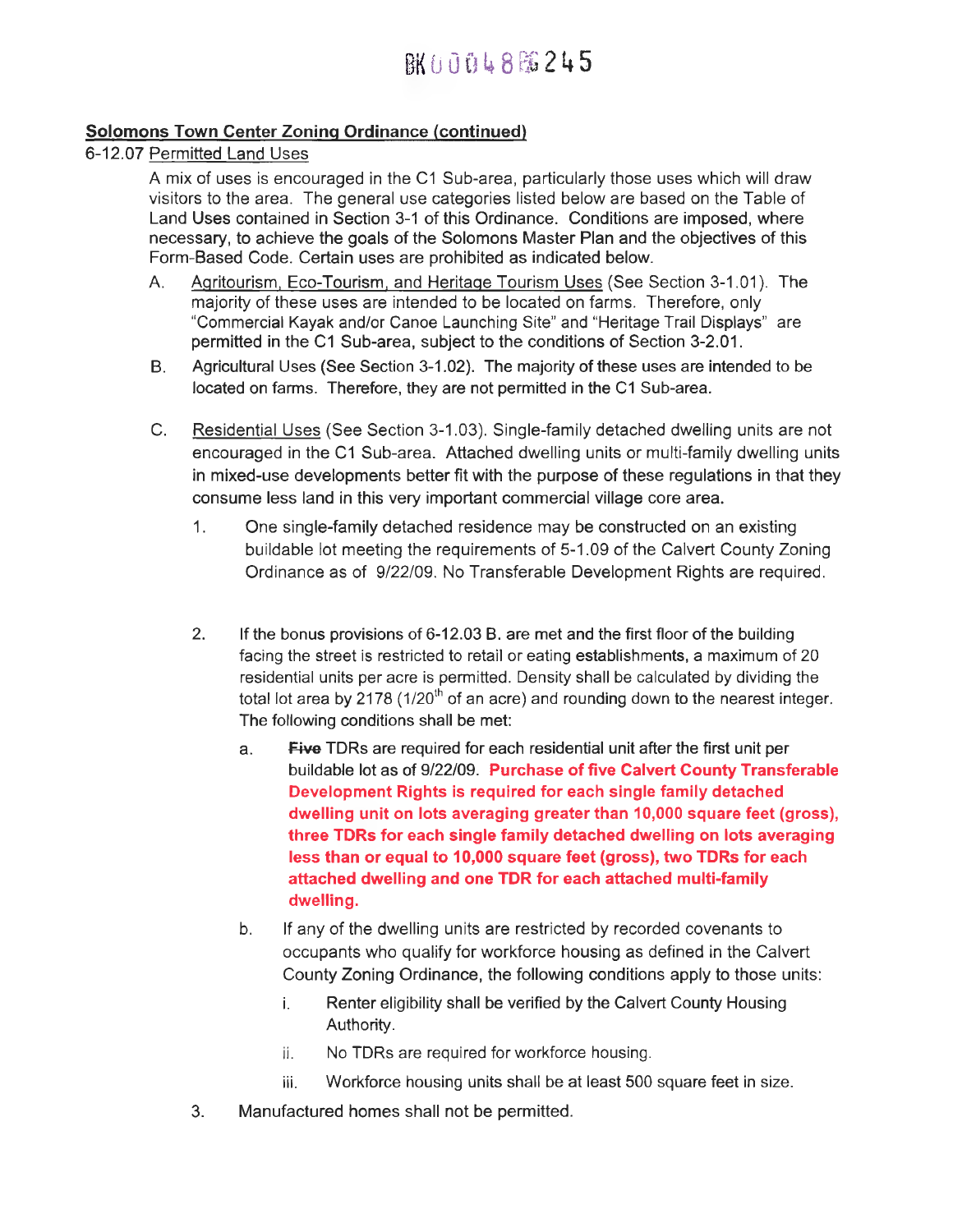## BK ti 0 0 14 8 FG 2 4 5

#### **Solomons Town Center Zoning Ordinance (continued)**

#### 6-12.07 Permitted Land Uses

A mix of uses is encouraged in the C1 Sub-area, particularly those uses which will draw visitors to the area. The general use categories listed below are based on the Table of Land Uses contained in Section 3-1 of this Ordinance. Conditions are imposed, where necessary, to achieve the goals of the Solomons Master Plan and the objectives of this Form-Based Code. Certain uses are prohibited as indicated below.

- A. Agritourism, Eco-Tourism, and Heritage Tourism Uses (See Section 3-1.01). The majority of these uses are intended to be located on farms. Therefore, only "Commercial Kayak and/or Canoe Launching Site" and "Heritage Trail Displays" are permitted in the C1 Sub-area, subject to the conditions of Section 3-2.01.
- B. Agricultural Uses (See Section 3-1.02). The majority of these uses are intended to be located on farms. Therefore, they are not permitted in the C1 Sub-area.
- C. Residential Uses (See Section 3-1.03). Single-family detached dwelling units are not encouraged in the C1 Sub-area. Attached dwelling units or multi-family dwelling units in mixed-use developments better fit with the purpose of these regulations in that they consume less land in this very important commercial village core area.
	- 1. One single-family detached residence may be constructed on an existing buildable lot meeting the requirements of 5-1.09 of the Calvert County Zoning Ordinance as of 9/22/09. No Transferable Development Rights are required.
	- 2. If the bonus provisions of 6-12.03 B. are met and the first floor of the building facing the street is restricted to retail or eating establishments, a maximum of 20 residential units per acre is permitted. Density shall be calculated by dividing the total lot area by 2178 (1/20<sup>th</sup> of an acre) and rounding down to the nearest integer. The following conditions shall be met:
		- **a. Five** TDRs are required for each residential unit after the first unit per buildable lot as of 9/22/09. **Purchase of five Calvert County Transferable Development Rights is required for each single family detached dwelling unit on lots averaging greater than 10,000 square feet (gross), three TDRs for each single family detached dwelling on lots averaging less than or equal to 10,000 square feet (gross), two TDRs for each attached dwelling and one TDR for each attached multi-family dwelling.**
		- b. If any of the dwelling units are restricted by recorded covenants to occupants who qualify for workforce housing as defined in the Calvert County Zoning Ordinance, the following conditions apply to those units:
			- i. Renter eligibility shall be verified by the Calvert County Housing Authority.
			- ii. No TDRs are required for workforce housing.
			- iii. Workforce housing units shall be at least 500 square feet in size.
	- 3. Manufactured homes shall not be permitted.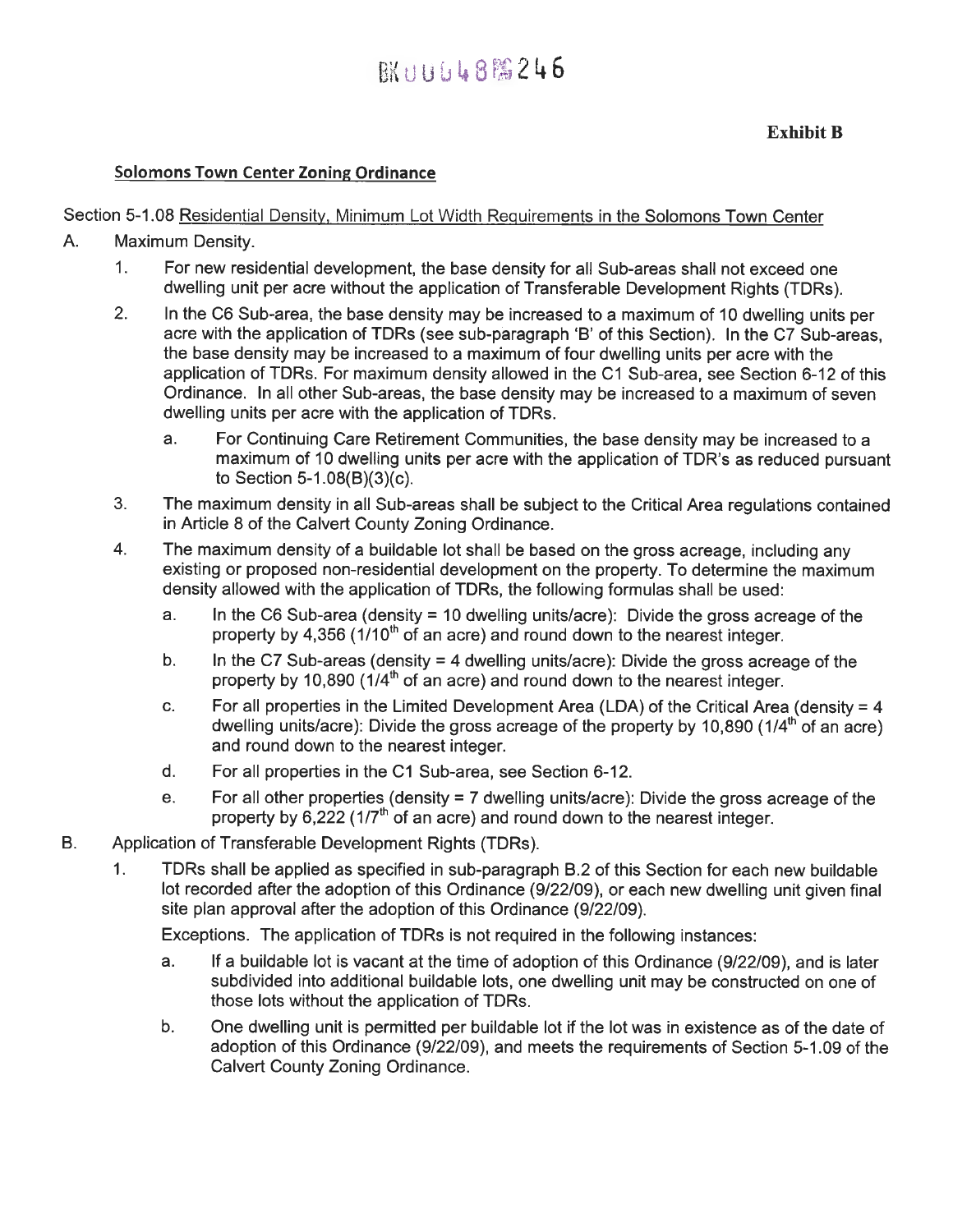## **BK11166888246**

#### **Solomons Town Center Zoning Ordinance**

#### Section 5-1.08 Residential Density, Minimum Lot Width Requirements in the Solomons Town Center

- A. Maximum Density.
	- 1. For new residential development, the base density for all Sub-areas shall not exceed one dwelling unit per acre without the application of Transferable Development Rights (TDRs).
	- 2. In the C6 Sub-area, the base density may be increased to a maximum of 10 dwelling units per acre with the application of TDRs (see sub-paragraph 'B' of this Section). In the C7 Sub-areas, the base density may be increased to a maximum of four dwelling units per acre with the application of TDRs. For maximum density allowed in the C1 Sub-area, see Section 6-12 of this Ordinance. In all other Sub-areas, the base density may be increased to a maximum of seven dwelling units per acre with the application of TDRs.
		- a. For Continuing Care Retirement Communities, the base density may be increased to a maximum of 10 dwelling units per acre with the application of TDR's as reduced pursuant to Section 5-1.08(B)(3)(c).
	- 3. The maximum density in all Sub-areas shall be subject to the Critical Area regulations contained in Article 8 of the Calvert County Zoning Ordinance.
	- 4. The maximum density of a buildable lot shall be based on the gross acreage, including any existing or proposed non-residential development on the property. To determine the maximum density allowed with the application of TDRs, the following formulas shall be used:
		- a. In the C6 Sub-area (density = 10 dwelling units/acre): Divide the gross acreage of the property by  $4.356$  ( $1/10<sup>th</sup>$  of an acre) and round down to the nearest integer.
		- b. In the C7 Sub-areas (density  $=$  4 dwelling units/acre): Divide the gross acreage of the property by 10,890 (1/4<sup>th</sup> of an acre) and round down to the nearest integer.
		- c. For all properties in the Limited Development Area (LDA) of the Critical Area (density  $= 4$ dwelling units/acre): Divide the gross acreage of the property by 10,890 (1/4<sup>th</sup> of an acre) and round down to the nearest integer.
		- d. For all properties in the C1 Sub-area, see Section 6-12.
		- e. For all other properties (density = 7 dwelling units/acre): Divide the gross acreage of the property by  $6.222$  (1/7<sup>th</sup> of an acre) and round down to the nearest integer.
- B. Application of Transferable Development Rights (TDRs).
	- 1. TDRs shall be applied as specified in sub-paragraph B.2 of this Section for each new buildable lot recorded after the adoption of this Ordinance (9/22/09), or each new dwelling unit given final site plan approval after the adoption of this Ordinance (9/22/09).

Exceptions. The application of TDRs is not required in the following instances:

- a. If a buildable lot is vacant at the time of adoption of this Ordinance (9/22/09), and is later subdivided into additional buildable lots, one dwelling unit may be constructed on one of those lots without the application of TDRs.
- b. One dwelling unit is permitted per buildable lot if the lot was in existence as of the date of adoption of this Ordinance (9/22/09), and meets the requirements of Section 5-1.09 of the Calvert County Zoning Ordinance.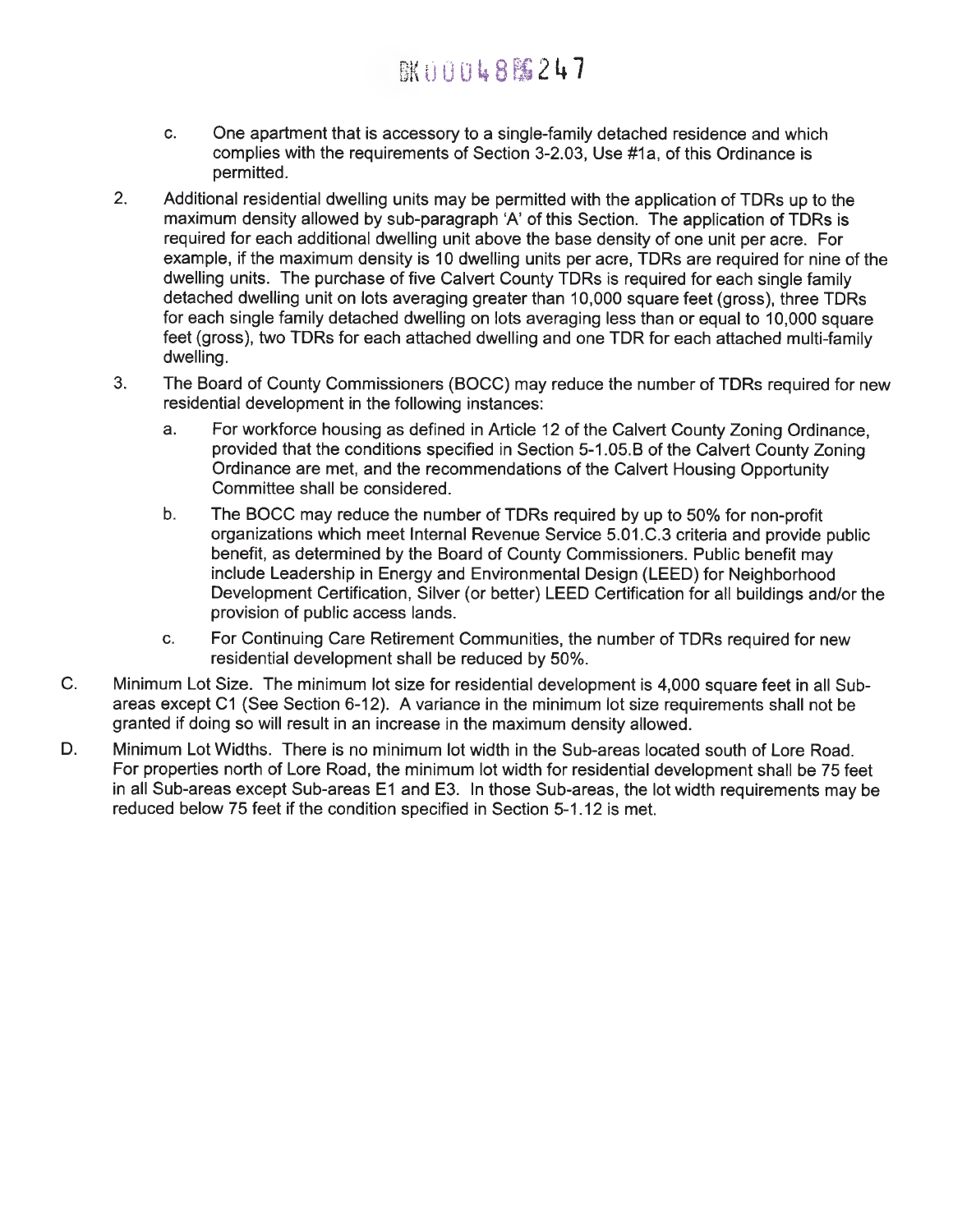## **BK000488247**

- c. One apartment that is accessory to a single-family detached residence and which complies with the requirements of Section 3-2.03, Use #1a, of this Ordinance is permitted.
- 2. Additional residential dwelling units may be permitted with the application of TDRs up to the maximum density allowed by sub-paragraph 'A' of this Section. The application of TDRs is required for each additional dwelling unit above the base density of one unit per acre. For example, if the maximum density is 10 dwelling units per acre, TDRs are required for nine of the dwelling units. The purchase of five Calvert County TDRs is required for each single family detached dwelling unit on lots averaging greater than 10,000 square feet (gross), three TDRs for each single family detached dwelling on lots averaging less than or equal to 10,000 square feet (gross), two TDRs for each attached dwelling and one TDR for each attached multi-family dwelling.
- 3. The Board of County Commissioners (BOCC) may reduce the number of TDRs required for new residential development in the following instances:
	- a. For workforce housing as defined in Article 12 of the Calvert County Zoning Ordinance, provided that the conditions specified in Section 5-1.05.B of the Calvert County Zoning Ordinance are met, and the recommendations of the Calvert Housing Opportunity Committee shall be considered.
	- b. The BOCC may reduce the number of TDRs required by up to 50% for non-profit organizations which meet Internal Revenue Service 5.01.C.3 criteria and provide public benefit, as determined by the Board of County Commissioners. Public benefit may include Leadership in Energy and Environmental Design (LEED) for Neighborhood Development Certification, Silver (or better) LEED Certification for all buildings and/or the provision of public access lands.
	- c. For Continuing Care Retirement Communities, the number of TDRs required for new residential development shall be reduced by 50%.
- C. Minimum Lot Size. The minimum lot size for residential development is 4,000 square feet in all Subareas except Cl (See Section 6-12). A variance in the minimum lot size requirements shall not be granted if doing so will result in an increase in the maximum density allowed.
- D. Minimum Lot Widths. There is no minimum lot width in the Sub-areas located south of Lore Road. For properties north of Lore Road, the minimum lot width for residential development shall be 75 feet in all Sub-areas except Sub-areas E1 and E3. In those Sub-areas, the lot width requirements may be reduced below 75 feet if the condition specified in Section 5-1.12 is met.